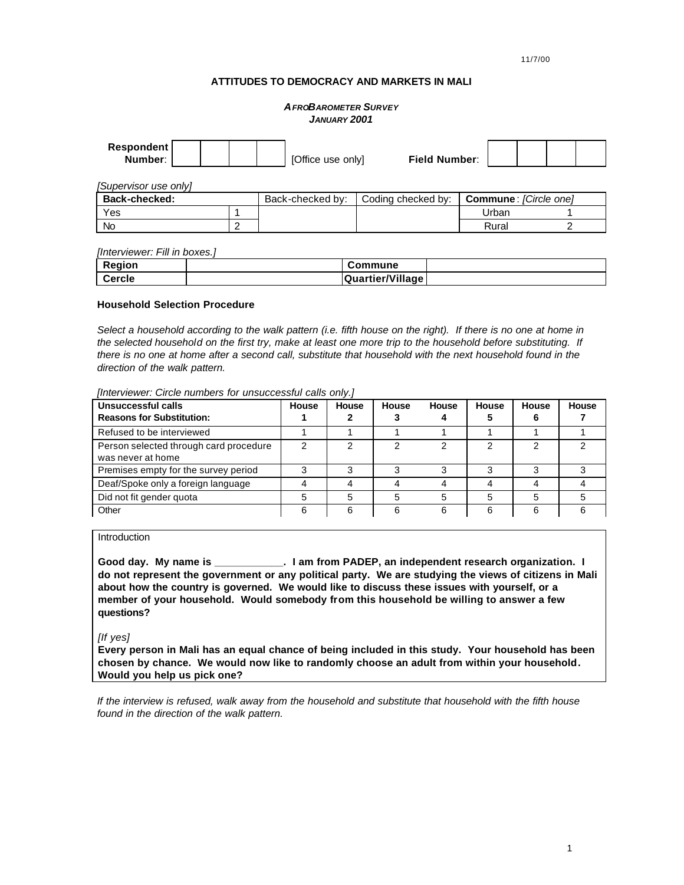11/7/00

## **ATTITUDES TO DEMOCRACY AND MARKETS IN MALI**

## *AFROBAROMETER SURVEY JANUARY 2001*

| Respondent<br>Number: |   | [Office use only] | <b>Field Number:</b> |                       |  |
|-----------------------|---|-------------------|----------------------|-----------------------|--|
| [Supervisor use only] |   |                   |                      |                       |  |
| <b>Back-checked:</b>  |   | Back-checked by:  | Coding checked by:   | Commune: [Circle one] |  |
| Yes                   |   |                   |                      | Urban                 |  |
| <b>No</b>             | n |                   |                      | Rural                 |  |

*[Interviewer: Fill in boxes.]*

| Region | Commune          |  |
|--------|------------------|--|
| Cercle | Quartier/Village |  |

## **Household Selection Procedure**

*Select a household according to the walk pattern (i.e. fifth house on the right). If there is no one at home in the selected household on the first try, make at least one more trip to the household before substituting. If there is no one at home after a second call, substitute that household with the next household found in the direction of the walk pattern.*

| Unsuccessful calls<br><b>Reasons for Substitution:</b>      | House | House | House | House | House | House | House |
|-------------------------------------------------------------|-------|-------|-------|-------|-------|-------|-------|
| Refused to be interviewed                                   |       |       |       |       |       |       |       |
| Person selected through card procedure<br>was never at home |       |       |       |       | ◠     | ◠     |       |
| Premises empty for the survey period                        | ິ     |       |       |       | 3     |       |       |
| Deaf/Spoke only a foreign language                          |       |       |       |       |       |       |       |
| Did not fit gender quota                                    | 5     |       |       |       | 5     |       |       |
| Other                                                       | ิค    | հ     | 6     | 6     | 6     | 6     |       |

*[Interviewer: Circle numbers for unsuccessful calls only.]*

### **Introduction**

**Good day. My name is \_\_\_\_\_\_\_\_\_\_\_\_. I am from PADEP, an independent research organization. I do not represent the government or any political party. We are studying the views of citizens in Mali about how the country is governed. We would like to discuss these issues with yourself, or a member of your household. Would somebody from this household be willing to answer a few questions?**

## *[If yes]*

**Every person in Mali has an equal chance of being included in this study. Your household has been chosen by chance. We would now like to randomly choose an adult from within your household. Would you help us pick one?**

*If the interview is refused, walk away from the household and substitute that household with the fifth house found in the direction of the walk pattern.*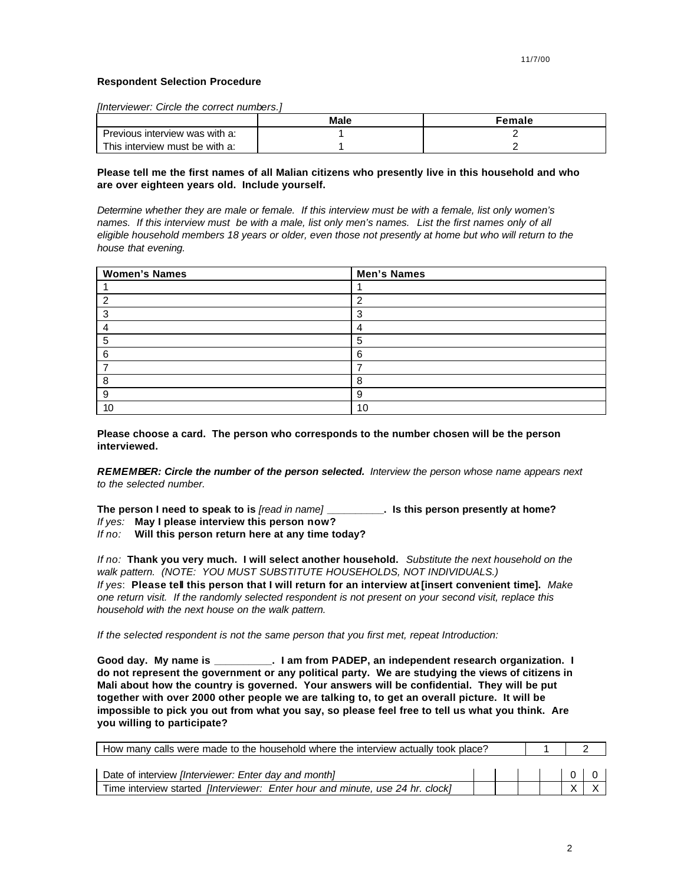## **Respondent Selection Procedure**

*[Interviewer: Circle the correct numbers.]*

|                                | Male | Female |
|--------------------------------|------|--------|
| Previous interview was with a: |      |        |
| This interview must be with a: |      |        |

## **Please tell me the first names of all Malian citizens who presently live in this household and who are over eighteen years old. Include yourself.**

*Determine whether they are male or female. If this interview must be with a female, list only women's names. If this interview must be with a male, list only men's names. List the first names only of all eligible household members 18 years or older, even those not presently at home but who will return to the house that evening.*

| <b>Women's Names</b> | <b>Men's Names</b> |
|----------------------|--------------------|
|                      |                    |
| ◠                    | c                  |
| っ                    | ◠                  |
|                      |                    |
| 5                    | 5                  |
| 6                    | 6                  |
|                      |                    |
| 8                    | 8                  |
| 9                    | 9                  |
| 10                   | 10                 |

**Please choose a card. The person who corresponds to the number chosen will be the person interviewed.**

*REMEMBER: Circle the number of the person selected. Interview the person whose name appears next to the selected number.*

**The person I need to speak to is** *[read in name]* **\_\_\_\_\_\_\_\_\_\_. Is this person presently at home?**

*If yes:* **May I please interview this person now?**

*If no:* **Will this person return here at any time today?**

*If no:* **Thank you very much. I will select another household.** *Substitute the next household on the walk pattern. (NOTE: YOU MUST SUBSTITUTE HOUSEHOLDS, NOT INDIVIDUALS.) If yes*: **Please tell this person that I will return for an interview at [insert convenient time].** *Make one return visit. If the randomly selected respondent is not present on your second visit, replace this household with the next house on the walk pattern.*

*If the selected respondent is not the same person that you first met, repeat Introduction:*

**Good day. My name is \_\_\_\_\_\_\_\_\_\_. I am from PADEP, an independent research organization. I do not represent the government or any political party. We are studying the views of citizens in Mali about how the country is governed. Your answers will be confidential. They will be put together with over 2000 other people we are talking to, to get an overall picture. It will be impossible to pick you out from what you say, so please feel free to tell us what you think. Are you willing to participate?**

| How many calls were made to the household where the interview actually took place? |  |  |                                               |  |
|------------------------------------------------------------------------------------|--|--|-----------------------------------------------|--|
| Date of interview <i>[Interviewer: Enter day and month]</i>                        |  |  | $\begin{array}{c c c c c} \hline \end{array}$ |  |
| Time interview started [Interviewer: Enter hour and minute, use 24 hr. clock]      |  |  |                                               |  |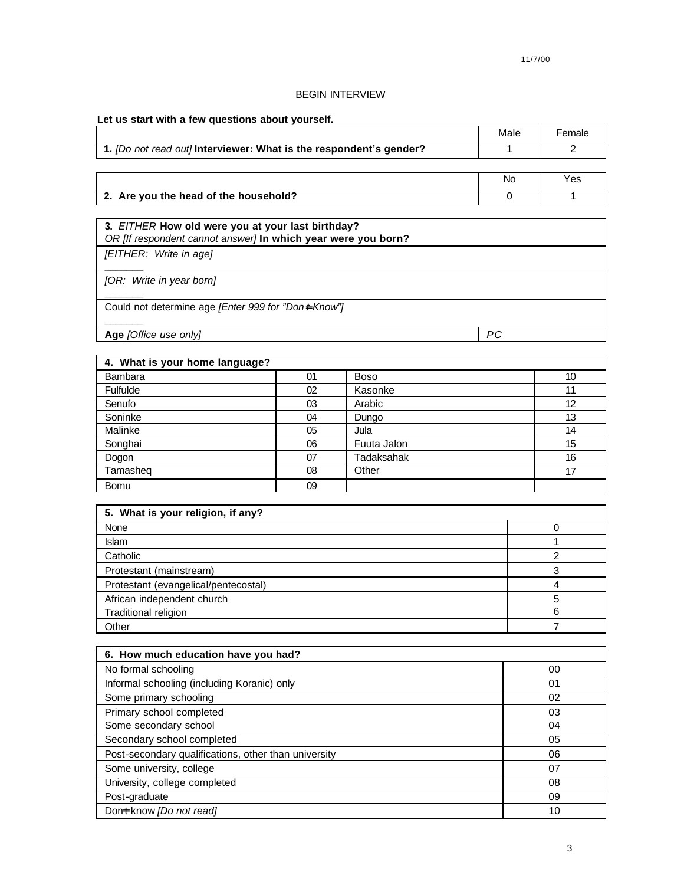# BEGIN INTERVIEW

**Let us start with a few questions about yourself.**

|                                                                    | Male | -emale |
|--------------------------------------------------------------------|------|--------|
| 1. [Do not read out] Interviewer: What is the respondent's gender? |      |        |

|                                       | <b>Nc</b> | Yes |
|---------------------------------------|-----------|-----|
| 2. Are you the head of the household? |           |     |

| 3. EITHER How old were you at your last birthday?<br>OR [If respondent cannot answer] In which year were you born? |    |
|--------------------------------------------------------------------------------------------------------------------|----|
| [EITHER: Write in age]                                                                                             |    |
| [OR: Write in year born]                                                                                           |    |
| Could not determine age <i>[Enter 999 for "Don+ Know"</i> ]                                                        |    |
| Age [Office use only]                                                                                              | РC |

| 4. What is your home language? |    |              |    |
|--------------------------------|----|--------------|----|
| Bambara                        | 01 | <b>Boso</b>  | 10 |
| Fulfulde                       | 02 | Kasonke      | 11 |
| Senufo                         | 03 | Arabic       | 12 |
| Soninke                        | 04 | <b>Dungo</b> | 13 |
| Malinke                        | 05 | Jula         | 14 |
| Songhai                        | 06 | Fuuta Jalon  | 15 |
| Dogon                          | 07 | Tadaksahak   | 16 |
| Tamasheq                       | 08 | Other        | 17 |
| <b>Bomu</b>                    | 09 |              |    |

| 5. What is your religion, if any?    |   |  |  |
|--------------------------------------|---|--|--|
| None                                 |   |  |  |
| <b>Islam</b>                         |   |  |  |
| Catholic                             |   |  |  |
| Protestant (mainstream)              |   |  |  |
| Protestant (evangelical/pentecostal) |   |  |  |
| African independent church           |   |  |  |
| Traditional religion                 | 6 |  |  |
| Other                                |   |  |  |

| 6. How much education have you had?                  |    |  |  |  |
|------------------------------------------------------|----|--|--|--|
| No formal schooling                                  | 00 |  |  |  |
| Informal schooling (including Koranic) only          | 01 |  |  |  |
| Some primary schooling                               | 02 |  |  |  |
| Primary school completed                             | 03 |  |  |  |
| Some secondary school                                | 04 |  |  |  |
| Secondary school completed                           | 05 |  |  |  |
| Post-secondary qualifications, other than university | 06 |  |  |  |
| Some university, college                             | 07 |  |  |  |
| University, college completed                        | 08 |  |  |  |
| Post-graduate                                        | 09 |  |  |  |
| Dont know <i>[Do not read]</i>                       | 10 |  |  |  |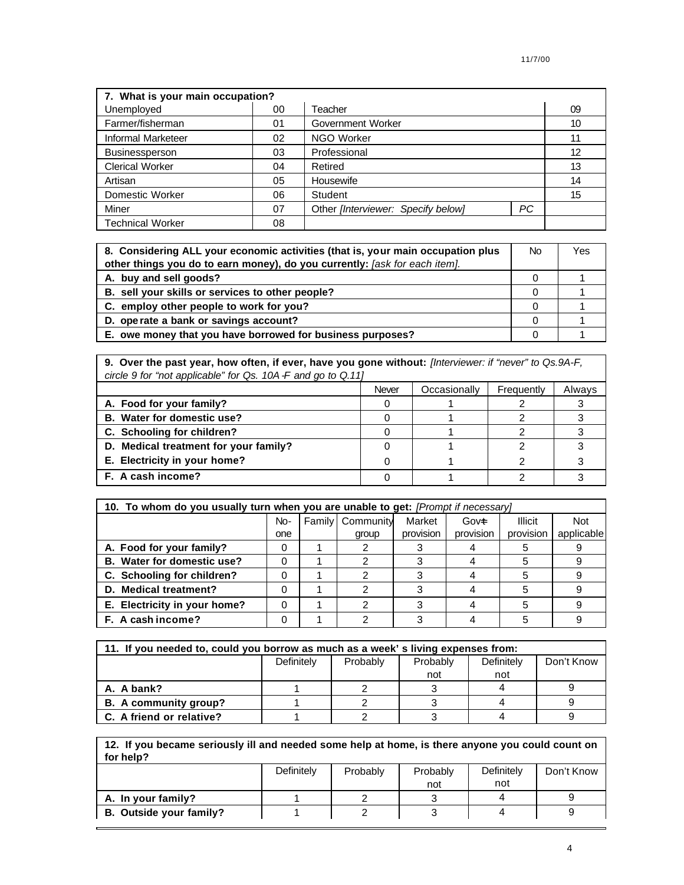| 7. What is your main occupation? |                 |                                    |           |    |  |
|----------------------------------|-----------------|------------------------------------|-----------|----|--|
| Unemployed                       | 00              | Teacher                            |           | 09 |  |
| Farmer/fisherman                 | 01              | Government Worker                  |           | 10 |  |
| <b>Informal Marketeer</b>        | 02              | <b>NGO Worker</b>                  | 11        |    |  |
| <b>Businessperson</b>            | 03              | Professional                       |           |    |  |
| <b>Clerical Worker</b>           | 04<br>Retired   |                                    | 13        |    |  |
| Artisan                          | Housewife<br>05 |                                    | 14        |    |  |
| Domestic Worker<br>06<br>Student |                 |                                    | 15        |    |  |
| Miner                            | 07              | Other [Interviewer: Specify below] | <b>PC</b> |    |  |
| <b>Technical Worker</b>          | 08              |                                    |           |    |  |

| 8. Considering ALL your economic activities (that is, your main occupation plus | No. | Yes |
|---------------------------------------------------------------------------------|-----|-----|
| other things you do to earn money), do you currently: [ask for each item].      |     |     |
| A. buy and sell goods?                                                          |     |     |
| B. sell your skills or services to other people?                                |     |     |
| C. employ other people to work for you?                                         |     |     |
| D. operate a bank or savings account?                                           |     |     |
| E. owe money that you have borrowed for business purposes?                      |     |     |

**9. Over the past year, how often, if ever, have you gone without:** *[Interviewer: if "never" to Qs.9A-F, circle 9 for "not applicable" for Qs. 10A-F and go to Q.11]*

|                                       | Never | Occasionally | Frequently | Always |
|---------------------------------------|-------|--------------|------------|--------|
| A. Food for your family?              |       |              |            |        |
| B. Water for domestic use?            |       |              |            |        |
| C. Schooling for children?            |       |              |            |        |
| D. Medical treatment for your family? |       |              |            |        |
| E. Electricity in your home?          |       |              |            |        |
| F. A cash income?                     |       |              |            |        |

| 10. To whom do you usually turn when you are unable to get: [Prompt if necessary] |     |  |                    |           |           |                |            |
|-----------------------------------------------------------------------------------|-----|--|--------------------|-----------|-----------|----------------|------------|
|                                                                                   | No- |  | Family   Community | Market    | Govet     | <b>Illicit</b> | <b>Not</b> |
|                                                                                   | one |  | group              | provision | provision | provision      | applicable |
| A. Food for your family?                                                          | 0   |  |                    |           |           |                |            |
| B. Water for domestic use?                                                        |     |  |                    |           |           |                |            |
| C. Schooling for children?                                                        |     |  |                    |           |           | 5              |            |
| D. Medical treatment?                                                             |     |  |                    |           |           | 5              |            |
| E. Electricity in your home?                                                      |     |  |                    |           |           | 5              |            |
| F. A cash income?                                                                 |     |  |                    |           |           |                |            |

| 11. If you needed to, could you borrow as much as a week' s living expenses from: |            |          |          |            |            |  |
|-----------------------------------------------------------------------------------|------------|----------|----------|------------|------------|--|
|                                                                                   | Definitely | Probably | Probably | Definitely | Don't Know |  |
|                                                                                   |            |          | not      | not        |            |  |
| A. A bank?                                                                        |            |          |          |            |            |  |
| B. A community group?                                                             |            |          |          |            |            |  |
| C. A friend or relative?                                                          |            |          |          |            |            |  |

| 12. If you became seriously ill and needed some help at home, is there anyone you could count on |
|--------------------------------------------------------------------------------------------------|
| for help?                                                                                        |

|                         | Definitely | Probably | Probably<br>not | Definitely<br>not | Don't Know |
|-------------------------|------------|----------|-----------------|-------------------|------------|
| A. In your family?      |            |          |                 |                   |            |
| B. Outside your family? |            |          |                 |                   |            |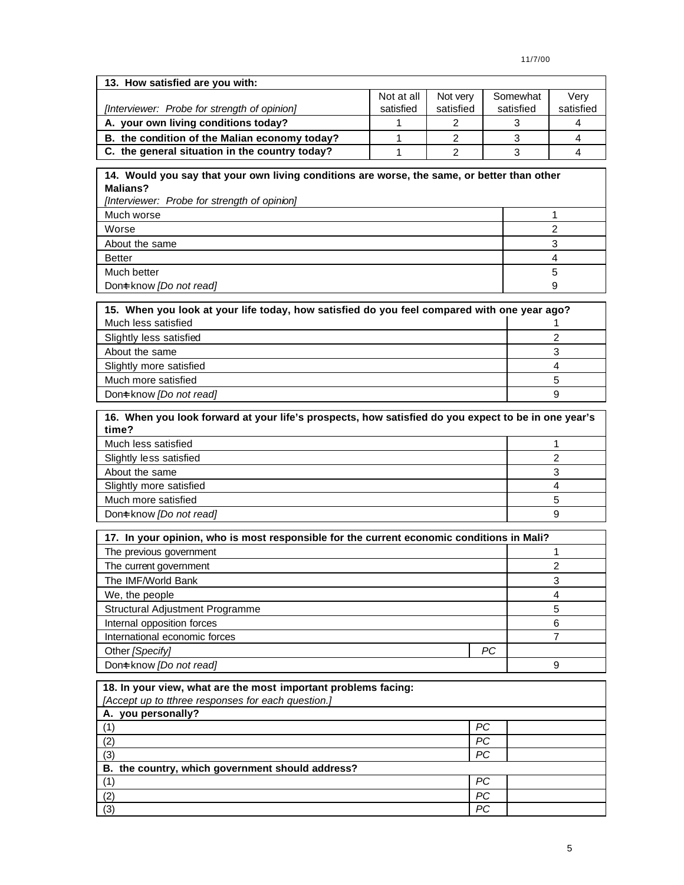| 13. How satisfied are you with:                |            |           |           |           |  |  |
|------------------------------------------------|------------|-----------|-----------|-----------|--|--|
|                                                | Not at all | Not verv  | Somewhat  | Verv      |  |  |
| [Interviewer: Probe for strength of opinion]   | satisfied  | satisfied | satisfied | satisfied |  |  |
| A. your own living conditions today?           |            |           |           |           |  |  |
| B. the condition of the Malian economy today?  |            |           |           |           |  |  |
| C. the general situation in the country today? |            |           |           |           |  |  |

# **14. Would you say that your own living conditions are worse, the same, or better than other Malians?**

*[Interviewer: Probe for strength of opinion]*

| Much worse              |  |
|-------------------------|--|
| Worse                   |  |
| About the same          |  |
| <b>Better</b>           |  |
| Much better             |  |
| Dont know [Do not read] |  |
|                         |  |

| 15. When you look at your life today, how satisfied do you feel compared with one year ago? |   |  |  |
|---------------------------------------------------------------------------------------------|---|--|--|
| Much less satisfied                                                                         |   |  |  |
| Slightly less satisfied                                                                     |   |  |  |
| About the same                                                                              |   |  |  |
| Slightly more satisfied                                                                     |   |  |  |
| Much more satisfied                                                                         |   |  |  |
| Dont know [Do not read]                                                                     | 9 |  |  |

| 16. When you look forward at your life's prospects, how satisfied do you expect to be in one year's<br>time? |  |  |  |
|--------------------------------------------------------------------------------------------------------------|--|--|--|
| Much less satisfied                                                                                          |  |  |  |
| Slightly less satisfied                                                                                      |  |  |  |
| About the same                                                                                               |  |  |  |
| Slightly more satisfied                                                                                      |  |  |  |
| Much more satisfied                                                                                          |  |  |  |
| Dont know <i>[Do not read]</i>                                                                               |  |  |  |

| 17. In your opinion, who is most responsible for the current economic conditions in Mali? |    |   |  |  |
|-------------------------------------------------------------------------------------------|----|---|--|--|
| The previous government                                                                   |    |   |  |  |
| The current government                                                                    |    |   |  |  |
| The IMF/World Bank                                                                        |    |   |  |  |
| We, the people                                                                            |    |   |  |  |
| Structural Adjustment Programme                                                           |    | 5 |  |  |
| Internal opposition forces                                                                |    |   |  |  |
| International economic forces                                                             |    |   |  |  |
| Other [Specify]                                                                           | PС |   |  |  |
| Dont know [Do not read]                                                                   |    |   |  |  |

| 18. In your view, what are the most important problems facing: |           |  |
|----------------------------------------------------------------|-----------|--|
| [Accept up to tthree responses for each question.]             |           |  |
| A. you personally?                                             |           |  |
| (1)                                                            | PС        |  |
| (2)                                                            | РC        |  |
| (3)                                                            | <b>PC</b> |  |
| B. the country, which government should address?               |           |  |
| (1)                                                            | PС        |  |
| (2)                                                            | PС        |  |
| (3)                                                            | PС        |  |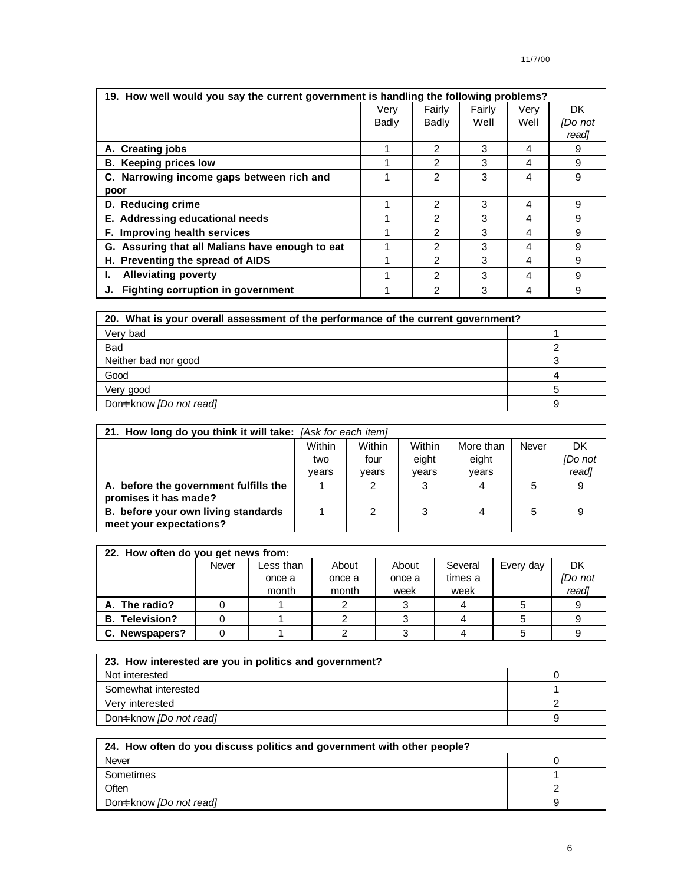| 19. How well would you say the current government is handling the following problems? |       |                |        |      |         |  |  |
|---------------------------------------------------------------------------------------|-------|----------------|--------|------|---------|--|--|
|                                                                                       | Very  | Fairly         | Fairly | Very | DK.     |  |  |
|                                                                                       | Badly | Badly          | Well   | Well | [Do not |  |  |
|                                                                                       |       |                |        |      | readl   |  |  |
| A. Creating jobs                                                                      |       | $\mathcal{P}$  | 3      | 4    | 9       |  |  |
| <b>B.</b> Keeping prices low                                                          |       | $\mathcal{P}$  | 3      | 4    | 9       |  |  |
| C. Narrowing income gaps between rich and                                             |       | $\mathcal{P}$  | 3      | 4    | 9       |  |  |
| poor                                                                                  |       |                |        |      |         |  |  |
| D. Reducing crime                                                                     |       | $\mathcal{P}$  | 3      | 4    | 9       |  |  |
| E. Addressing educational needs                                                       |       | 2              | 3      | 4    | 9       |  |  |
| F. Improving health services                                                          |       | $\overline{2}$ | 3      | 4    | 9       |  |  |
| G. Assuring that all Malians have enough to eat                                       |       | $\mathcal{P}$  | 3      | 4    | 9       |  |  |
| H. Preventing the spread of AIDS                                                      |       | 2              | 3      | 4    | 9       |  |  |
| <b>Alleviating poverty</b><br>Ъ.                                                      |       | 2              | 3      | 4    | 9       |  |  |
| Fighting corruption in government                                                     |       | $\overline{2}$ | 3      | 4    | 9       |  |  |

| 20. What is your overall assessment of the performance of the current government? |  |  |  |  |
|-----------------------------------------------------------------------------------|--|--|--|--|
| Very bad                                                                          |  |  |  |  |
| <b>Bad</b>                                                                        |  |  |  |  |
| Neither bad nor good                                                              |  |  |  |  |
| Good                                                                              |  |  |  |  |
| Very good                                                                         |  |  |  |  |
| Dont know <i>[Do not read]</i>                                                    |  |  |  |  |

| 21. How long do you think it will take: [Ask for each item] |        |        |        |           |       |         |
|-------------------------------------------------------------|--------|--------|--------|-----------|-------|---------|
|                                                             | Within | Within | Within | More than | Never | DK.     |
|                                                             | two    | four   | eight  | eight     |       | [Do not |
|                                                             | vears  | vears  | vears  | vears     |       | read]   |
| A. before the government fulfills the                       |        | 2      | 3      | 4         | 5     |         |
| promises it has made?                                       |        |        |        |           |       |         |
| B. before your own living standards                         |        | 2      | 3      | 4         | 5     | 9       |
| meet your expectations?                                     |        |        |        |           |       |         |

| 22. How often do you get news from: |       |           |        |        |         |           |         |
|-------------------------------------|-------|-----------|--------|--------|---------|-----------|---------|
|                                     | Never | Less than | About  | About  | Several | Every day | DK      |
|                                     |       | once a    | once a | once a | times a |           | [Do not |
|                                     |       | month     | month  | week   | week    |           | read]   |
| A. The radio?                       |       |           |        |        |         |           |         |
| <b>B.</b> Television?               |       |           |        |        |         |           |         |
| C. Newspapers?                      |       |           |        |        |         |           |         |

| 23. How interested are you in politics and government? |  |
|--------------------------------------------------------|--|
| Not interested                                         |  |
| Somewhat interested                                    |  |
| Very interested                                        |  |
| Dont know <i>[Do not read]</i>                         |  |

| 24. How often do you discuss politics and government with other people? |  |  |  |  |
|-------------------------------------------------------------------------|--|--|--|--|
| Never                                                                   |  |  |  |  |
| Sometimes                                                               |  |  |  |  |
| Often                                                                   |  |  |  |  |
| Dont know [Do not read]                                                 |  |  |  |  |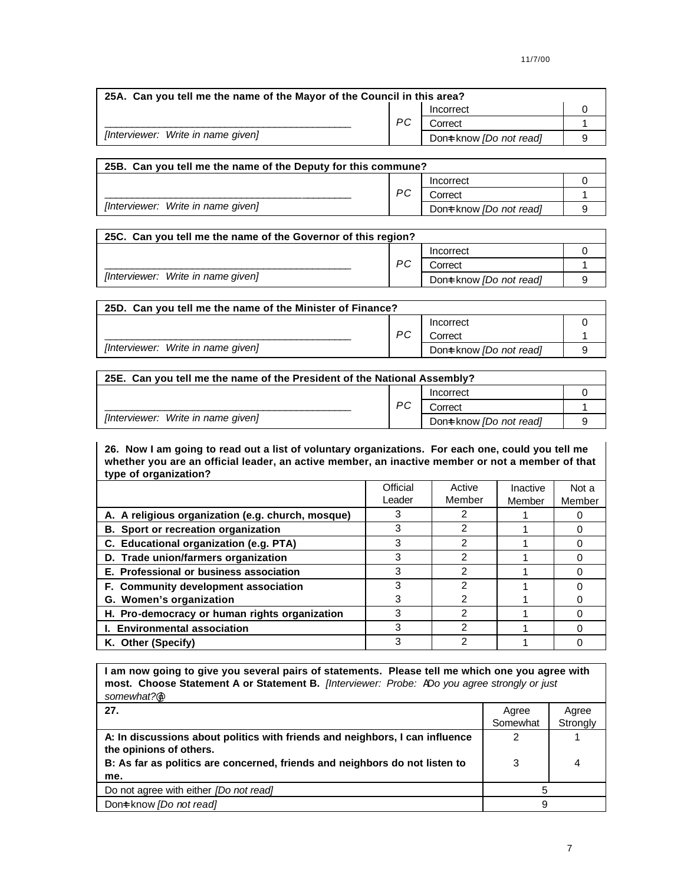| 25A. Can you tell me the name of the Mayor of the Council in this area? |    |                         |  |  |  |
|-------------------------------------------------------------------------|----|-------------------------|--|--|--|
|                                                                         |    | Incorrect               |  |  |  |
|                                                                         | PС | Correct                 |  |  |  |
| [Interviewer: Write in name given]                                      |    | Dont know [Do not read] |  |  |  |

| 25B. Can you tell me the name of the Deputy for this commune? |    |                         |  |  |  |
|---------------------------------------------------------------|----|-------------------------|--|--|--|
|                                                               | PС | Incorrect               |  |  |  |
|                                                               |    | Correct                 |  |  |  |
| [Interviewer: Write in name given]                            |    | Dont know [Do not read] |  |  |  |

| 25C. Can you tell me the name of the Governor of this region? |    |                         |  |  |
|---------------------------------------------------------------|----|-------------------------|--|--|
|                                                               |    | Incorrect               |  |  |
| [Interviewer: Write in name given]                            | РC | Correct                 |  |  |
|                                                               |    | Dont know [Do not read] |  |  |

| 25D. Can you tell me the name of the Minister of Finance? |    |                         |  |  |  |
|-----------------------------------------------------------|----|-------------------------|--|--|--|
|                                                           |    | Incorrect               |  |  |  |
|                                                           | PС | Correct                 |  |  |  |
| [Interviewer: Write in name given]                        |    | Dont know [Do not read] |  |  |  |

| 25E. Can you tell me the name of the President of the National Assembly? |    |                                |   |  |  |
|--------------------------------------------------------------------------|----|--------------------------------|---|--|--|
|                                                                          |    | Incorrect                      |   |  |  |
|                                                                          | PС | Correct                        |   |  |  |
| [Interviewer: Write in name given]                                       |    | Dont know <i>[Do not read]</i> | a |  |  |

**26. Now I am going to read out a list of voluntary organizations. For each one, could you tell me whether you are an official leader, an active member, an inactive member or not a member of that type of organization?**

|                                                   | Official | Active | Inactive | Not a  |
|---------------------------------------------------|----------|--------|----------|--------|
|                                                   | Leader   | Member | Member   | Member |
| A. A religious organization (e.g. church, mosque) |          |        |          |        |
| B. Sport or recreation organization               |          | 2      |          |        |
| C. Educational organization (e.g. PTA)            | 3        | 2      |          |        |
| D. Trade union/farmers organization               | 3        | 2      |          |        |
| E. Professional or business association           | 3        | 2      |          |        |
| F. Community development association              | 3        | っ      |          |        |
| G. Women's organization                           |          |        |          |        |
| H. Pro-democracy or human rights organization     | 3        | 2      |          |        |
| I. Environmental association                      | 3        | 2      |          |        |
| K. Other (Specify)                                | 3        | 2      |          |        |

**I am now going to give you several pairs of statements. Please tell me which one you agree with most. Choose Statement A or Statement B.** *[Interviewer: Probe: ADo you agree strongly or just somewhat?@]*

| 27.                                                                                                     | Agree    | Agree    |
|---------------------------------------------------------------------------------------------------------|----------|----------|
|                                                                                                         | Somewhat | Strongly |
| A: In discussions about politics with friends and neighbors, I can influence<br>the opinions of others. | っ        |          |
| B: As far as politics are concerned, friends and neighbors do not listen to                             | 3        |          |
| me.                                                                                                     |          |          |
| Do not agree with either <i>[Do not read]</i>                                                           |          |          |
| Dont know [Do not read]                                                                                 | 9        |          |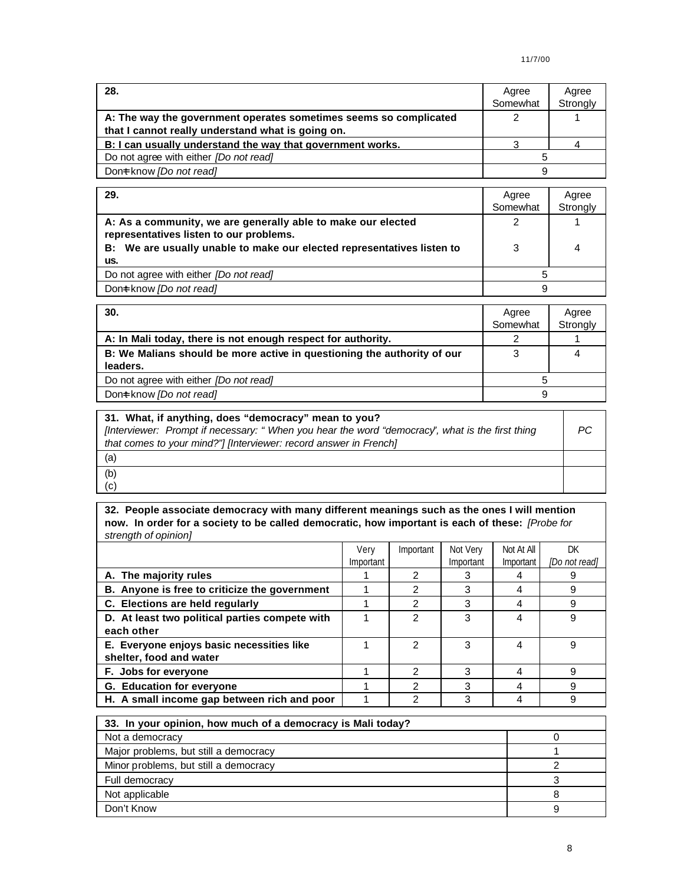| 28.                                                               | Agree    | Agree    |
|-------------------------------------------------------------------|----------|----------|
|                                                                   | Somewhat | Strongly |
| A: The way the government operates sometimes seems so complicated |          |          |
| that I cannot really understand what is going on.                 |          |          |
| B: I can usually understand the way that government works.        |          |          |
| Do not agree with either <i>[Do not read]</i>                     |          |          |
| Dont know [Do not read]                                           |          |          |

| 29.                                                                                                     | Agree<br>Somewhat | Agree<br>Strongly |
|---------------------------------------------------------------------------------------------------------|-------------------|-------------------|
| A: As a community, we are generally able to make our elected<br>representatives listen to our problems. |                   |                   |
| B: We are usually unable to make our elected representatives listen to<br>us.                           |                   |                   |
| Do not agree with either <i>[Do not read]</i>                                                           |                   |                   |
| Dont know [Do not read]                                                                                 | 9                 |                   |

| 30.                                                                     | Agree<br>Somewhat | Agree<br>Strongly |
|-------------------------------------------------------------------------|-------------------|-------------------|
| A: In Mali today, there is not enough respect for authority.            |                   |                   |
| B: We Malians should be more active in questioning the authority of our |                   |                   |
| leaders.                                                                |                   |                   |
| Do not agree with either <i>[Do not read]</i>                           |                   |                   |
| Dont know [Do not read]                                                 | 9                 |                   |

| 31. What, if anything, does "democracy" mean to you?<br>[Interviewer: Prompt if necessary: "When you hear the word "democracy", what is the first thing<br>that comes to your mind?"] [Interviewer: record answer in French] | PC. |
|------------------------------------------------------------------------------------------------------------------------------------------------------------------------------------------------------------------------------|-----|
| (a)                                                                                                                                                                                                                          |     |
| (b)                                                                                                                                                                                                                          |     |
| (c)                                                                                                                                                                                                                          |     |

**32. People associate democracy with many different meanings such as the ones I will mention now. In order for a society to be called democratic, how important is each of these:** *[Probe for strength of opinion]*

|                                                | Very<br>Important | Important | Not Very<br>Important | Not At All<br>Important | DК<br>[Do not read] |
|------------------------------------------------|-------------------|-----------|-----------------------|-------------------------|---------------------|
| A. The majority rules                          |                   | っ         |                       |                         |                     |
| B. Anyone is free to criticize the government  |                   |           | 3                     | 4                       | 9                   |
| C. Elections are held regularly                |                   | 2         | 3                     | 4                       | 9                   |
| D. At least two political parties compete with |                   | 2         | 3                     | 4                       | 9                   |
| each other                                     |                   |           |                       |                         |                     |
| E. Everyone enjoys basic necessities like      |                   | 2         | 3                     | 4                       | 9                   |
| shelter, food and water                        |                   |           |                       |                         |                     |
| F. Jobs for everyone                           |                   | 2         | 3                     | 4                       | 9                   |
| G. Education for everyone                      |                   |           | З                     | 4                       | я                   |
| H. A small income gap between rich and poor    |                   | ົ         | 3                     | 4                       | 9                   |

| 33. In your opinion, how much of a democracy is Mali today? |  |  |
|-------------------------------------------------------------|--|--|
| Not a democracy                                             |  |  |
| Major problems, but still a democracy                       |  |  |
| Minor problems, but still a democracy                       |  |  |
| Full democracy                                              |  |  |
| Not applicable                                              |  |  |
| Don't Know                                                  |  |  |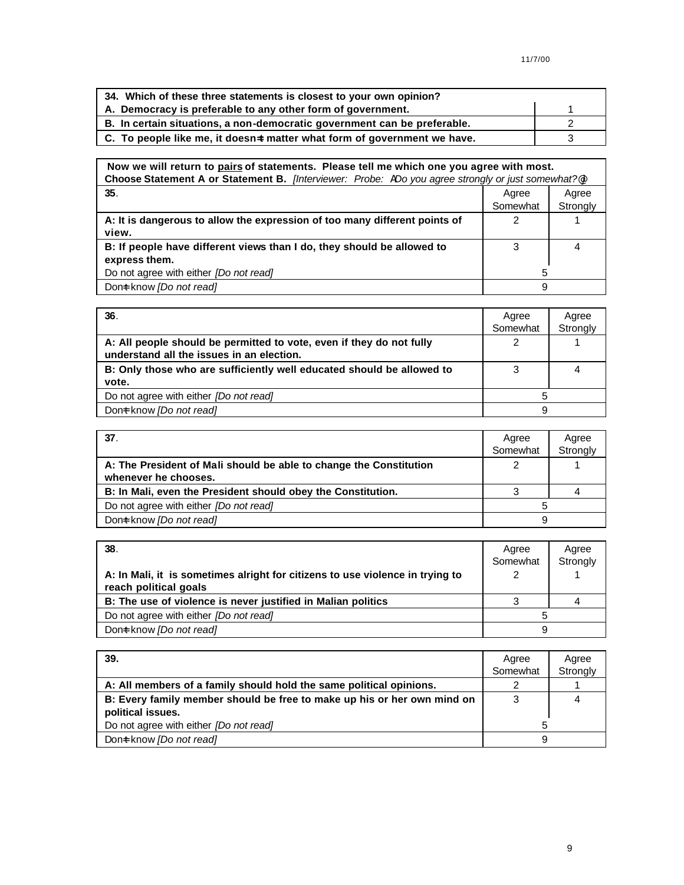| 34. Which of these three statements is closest to your own opinion?      |  |
|--------------------------------------------------------------------------|--|
| A. Democracy is preferable to any other form of government.              |  |
| B. In certain situations, a non-democratic government can be preferable. |  |
| C. To people like me, it doesn=t matter what form of government we have. |  |

#### **Now we will return to pairs of statements. Please tell me which one you agree with most. Choose Statement A or Statement B.** *[Interviewer: Probe: ADo you agree strongly or just somewhat?@]* **35**. Agree **1999 Agree 1999 Agree 1999 Agree 1999 Agree 1999 Agree 1999 Somewhat** Agree **Strongly A: It is dangerous to allow the expression of too many different points of view.** 2 1 **B: If people have different views than I do, they should be allowed to express them.** 3 4 Do not agree with either *[Do not read]* 5 Don=t know *[Do not read]* 9

| 36.                                                                                                               | Agree<br>Somewhat | Agree<br>Strongly |
|-------------------------------------------------------------------------------------------------------------------|-------------------|-------------------|
| A: All people should be permitted to vote, even if they do not fully<br>understand all the issues in an election. |                   |                   |
| B: Only those who are sufficiently well educated should be allowed to<br>vote.                                    |                   |                   |
| Do not agree with either <i>[Do not read]</i>                                                                     | 5                 |                   |
| Dont know <i>[Do not read]</i>                                                                                    | 9                 |                   |

| 37.                                                                | Agree    | Agree    |
|--------------------------------------------------------------------|----------|----------|
|                                                                    | Somewhat | Strongly |
| A: The President of Mali should be able to change the Constitution |          |          |
| whenever he chooses.                                               |          |          |
| B: In Mali, even the President should obey the Constitution.       |          |          |
| Do not agree with either <i>[Do not read]</i>                      |          |          |
| Dont know [Do not read]                                            | a        |          |

| 38.                                                                                                    | Agree    | Agree    |
|--------------------------------------------------------------------------------------------------------|----------|----------|
|                                                                                                        | Somewhat | Strongly |
| A: In Mali, it is sometimes alright for citizens to use violence in trying to<br>reach political goals |          |          |
| B: The use of violence is never justified in Malian politics                                           |          |          |
| Do not agree with either <i>[Do not read]</i>                                                          |          |          |
| Dont know <i>[Do not read]</i>                                                                         | 9        |          |

| 39.                                                                     | Agree    | Agree    |
|-------------------------------------------------------------------------|----------|----------|
|                                                                         | Somewhat | Strongly |
| A: All members of a family should hold the same political opinions.     |          |          |
| B: Every family member should be free to make up his or her own mind on | 3        |          |
| political issues.                                                       |          |          |
| Do not agree with either [Do not read]                                  |          |          |
| Dont know <i>[Do not read]</i>                                          | 9        |          |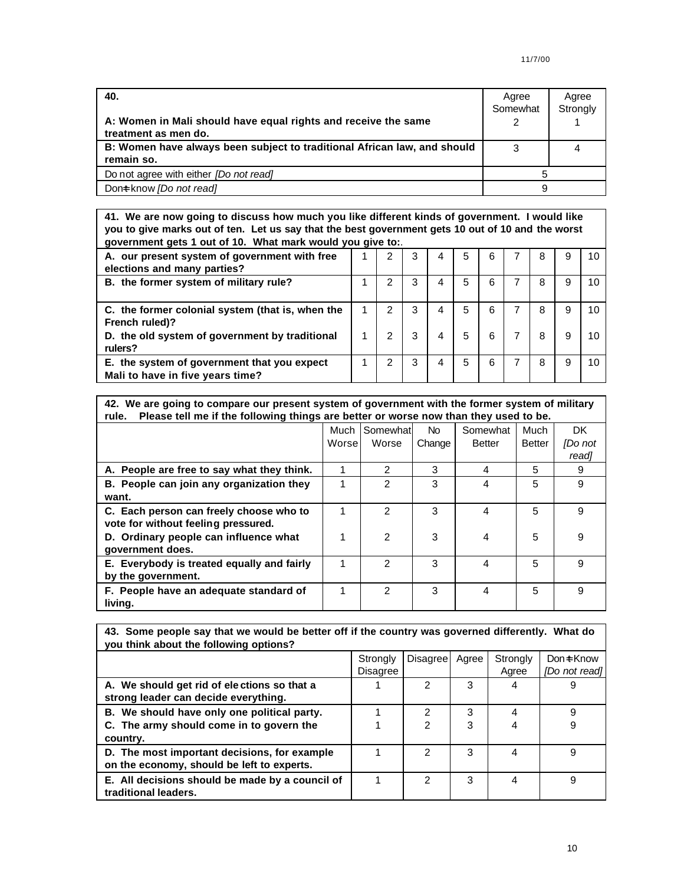| 40.<br>A: Women in Mali should have equal rights and receive the same<br>treatment as men do. | Agree<br>Somewhat | Agree<br>Strongly |
|-----------------------------------------------------------------------------------------------|-------------------|-------------------|
| B: Women have always been subject to traditional African law, and should                      |                   |                   |
| remain so.                                                                                    |                   |                   |
| Do not agree with either [Do not read]                                                        |                   |                   |
| Dont know <i>[Do not read]</i>                                                                | 9                 |                   |

**41. We are now going to discuss how much you like different kinds of government. I would like you to give marks out of ten. Let us say that the best government gets 10 out of 10 and the worst government gets 1 out of 10. What mark would you give to:**.

| A. our present system of government with free<br>elections and many parties?    |               | 3 | 4 | 5 | 6 |   |   | 10 |
|---------------------------------------------------------------------------------|---------------|---|---|---|---|---|---|----|
| B. the former system of military rule?                                          |               | 3 | 4 | 5 | 6 | 8 |   |    |
| C. the former colonial system (that is, when the<br>French ruled)?              |               | 3 | 4 | 5 | 6 | 8 | 9 |    |
| D. the old system of government by traditional<br>rulers?                       | $\mathcal{P}$ | 3 | 4 | 5 | 6 | 8 |   |    |
| E. the system of government that you expect<br>Mali to have in five years time? | 2             | 3 | 4 | 5 | 6 | 8 |   |    |

| 42. We are going to compare our present system of government with the former system of military |
|-------------------------------------------------------------------------------------------------|
| rule. Please tell me if the following things are better or worse now than they used to be.      |

|                                                                                | Much<br>Worse | Somewhat<br>Worse | No.<br>Change | Somewhat<br><b>Better</b> | Much<br><b>Better</b> | DK.<br><b>IDo</b> not<br>read] |
|--------------------------------------------------------------------------------|---------------|-------------------|---------------|---------------------------|-----------------------|--------------------------------|
| A. People are free to say what they think.                                     |               | 2                 | 3             | 4                         | 5                     | 9                              |
| B. People can join any organization they<br>want.                              |               | 2                 | 3             | 4                         | 5                     | 9                              |
| C. Each person can freely choose who to<br>vote for without feeling pressured. |               | 2                 | 3             | 4                         | 5                     | 9                              |
| D. Ordinary people can influence what<br>government does.                      |               | 2                 | 3             | 4                         | 5                     | 9                              |
| E. Everybody is treated equally and fairly<br>by the government.               | 1             | 2                 | 3             | 4                         | 5                     | 9                              |
| F. People have an adequate standard of<br>living.                              | 1             | $\mathcal{P}$     | 3             | 4                         | 5                     | 9                              |

| 43. Some people say that we would be better off if the country was governed differently. What do<br>you think about the following options? |                      |                 |       |                   |                             |  |  |  |
|--------------------------------------------------------------------------------------------------------------------------------------------|----------------------|-----------------|-------|-------------------|-----------------------------|--|--|--|
|                                                                                                                                            | Strongly<br>Disagree | <b>Disagree</b> | Agree | Strongly<br>Agree | Don=t Know<br>[Do not read] |  |  |  |
| A. We should get rid of elections so that a<br>strong leader can decide everything.                                                        |                      | 2               | 3     | 4                 | 9                           |  |  |  |
| B. We should have only one political party.                                                                                                |                      | 2               | 3     | 4                 | 9                           |  |  |  |
| C. The army should come in to govern the<br>country.                                                                                       |                      | $\mathcal{P}$   | 3     |                   | 9                           |  |  |  |
| D. The most important decisions, for example<br>on the economy, should be left to experts.                                                 |                      | 2               | 3     | 4                 | 9                           |  |  |  |
| E. All decisions should be made by a council of<br>traditional leaders.                                                                    |                      | $\mathcal{P}$   | 3     | 4                 | 9                           |  |  |  |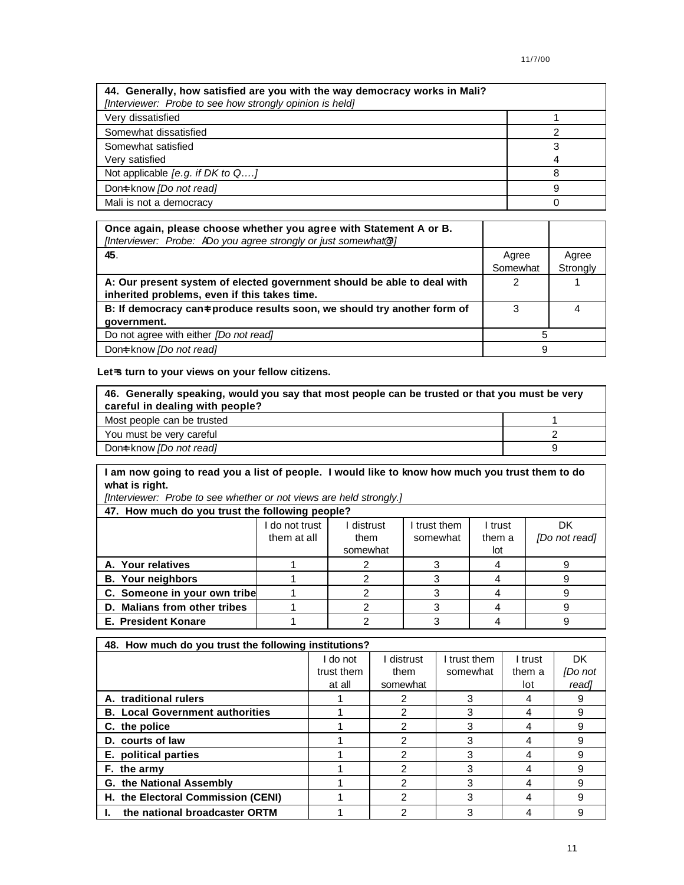| 44. Generally, how satisfied are you with the way democracy works in Mali?<br>[Interviewer: Probe to see how strongly opinion is held] |   |
|----------------------------------------------------------------------------------------------------------------------------------------|---|
| Very dissatisfied                                                                                                                      |   |
| Somewhat dissatisfied                                                                                                                  |   |
| Somewhat satisfied                                                                                                                     | з |
| Very satisfied                                                                                                                         |   |
| Not applicable [e.g. if DK to $Q$ ]                                                                                                    | Ω |
| Dont know [Do not read]                                                                                                                | 9 |
| Mali is not a democracy                                                                                                                |   |

| Once again, please choose whether you agree with Statement A or B.<br>[Interviewer: Probe: ADo you agree strongly or just somewhat@?] |          |          |
|---------------------------------------------------------------------------------------------------------------------------------------|----------|----------|
| 45.                                                                                                                                   | Agree    | Agree    |
|                                                                                                                                       | Somewhat | Strongly |
| A: Our present system of elected government should be able to deal with                                                               |          |          |
| inherited problems, even if this takes time.                                                                                          |          |          |
| B: If democracy can a produce results soon, we should try another form of                                                             | 3        | 4        |
| government.                                                                                                                           |          |          |
| Do not agree with either <i>[Do not read]</i>                                                                                         | 5        |          |
| Dont know <i>[Do not read]</i>                                                                                                        | 9        |          |

# **Let=s turn to your views on your fellow citizens.**

| 46. Generally speaking, would you say that most people can be trusted or that you must be very<br>careful in dealing with people? |  |  |  |  |
|-----------------------------------------------------------------------------------------------------------------------------------|--|--|--|--|
| Most people can be trusted                                                                                                        |  |  |  |  |
| You must be very careful                                                                                                          |  |  |  |  |
| Dont know <i>[Do not read]</i>                                                                                                    |  |  |  |  |

**I am now going to read you a list of people. I would like to know how much you trust them to do what is right.**

*[Interviewer: Probe to see whether or not views are held strongly.]*

| - -                                             |              |          |            |         |               |  |  |  |  |  |
|-------------------------------------------------|--------------|----------|------------|---------|---------------|--|--|--|--|--|
| 47. How much do you trust the following people? |              |          |            |         |               |  |  |  |  |  |
|                                                 | do not trust | distrust | trust them | I trust | DK            |  |  |  |  |  |
|                                                 | them at all  | them     | somewhat   | them a  | [Do not read] |  |  |  |  |  |
|                                                 |              | somewhat |            | lot     |               |  |  |  |  |  |
| A. Your relatives                               |              |          |            |         |               |  |  |  |  |  |
| <b>B.</b> Your neighbors                        |              |          |            |         |               |  |  |  |  |  |
| C. Someone in your own tribe                    |              |          |            |         |               |  |  |  |  |  |
| D. Malians from other tribes                    |              |          |            |         |               |  |  |  |  |  |
| <b>E. President Konare</b>                      |              |          |            |         |               |  |  |  |  |  |

| 48. How much do you trust the following institutions? |            |          |              |         |         |  |  |  |  |
|-------------------------------------------------------|------------|----------|--------------|---------|---------|--|--|--|--|
|                                                       | I do not   | distrust | I trust them | I trust | DK.     |  |  |  |  |
|                                                       | trust them | them     | somewhat     | them a  | [Do not |  |  |  |  |
|                                                       | at all     | somewhat |              | lot     | read]   |  |  |  |  |
| A. traditional rulers                                 |            |          | 3            | 4       | 9       |  |  |  |  |
| <b>B. Local Government authorities</b>                |            |          | 3            | 4       | 9       |  |  |  |  |
| C. the police                                         |            | າ        | 3            | 4       | 9       |  |  |  |  |
| D. courts of law                                      |            | っ        | 3            | 4       | 9       |  |  |  |  |
| E. political parties                                  |            | 2        | 3            | 4       | 9       |  |  |  |  |
| F. the army                                           |            | 2        | 3            | 4       | 9       |  |  |  |  |
| <b>G. the National Assembly</b>                       |            | 2        | 3            | 4       | 9       |  |  |  |  |
| H. the Electoral Commission (CENI)                    |            | っ        | 3            | 4       | 9       |  |  |  |  |
| the national broadcaster ORTM                         |            | າ        | 3            |         | g       |  |  |  |  |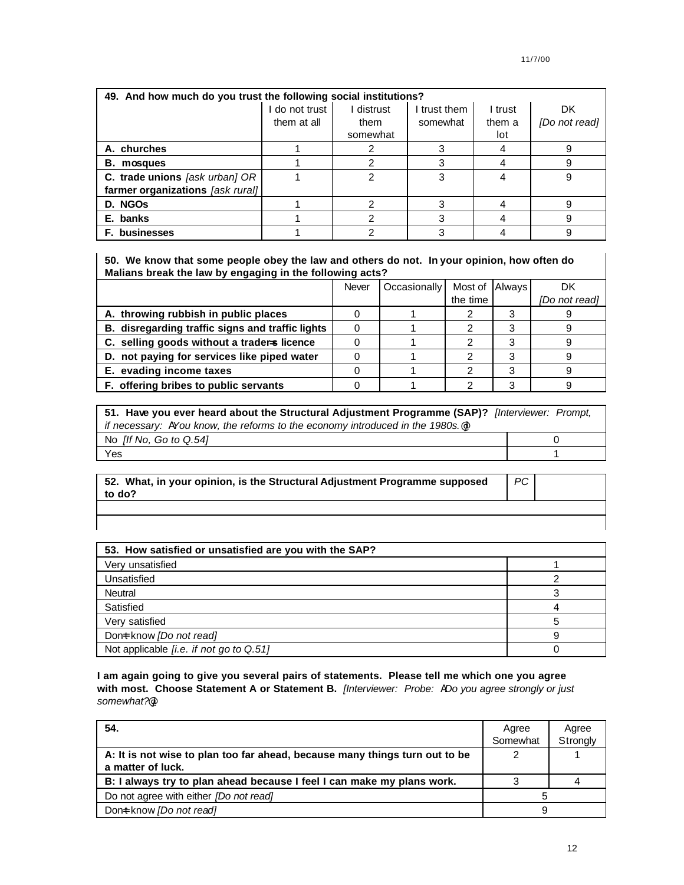| 49. And how much do you trust the following social institutions? |              |            |              |         |               |  |  |  |  |
|------------------------------------------------------------------|--------------|------------|--------------|---------|---------------|--|--|--|--|
|                                                                  | do not trust | I distrust | I trust them | I trust | DK            |  |  |  |  |
|                                                                  | them at all  | them       | somewhat     | them a  | [Do not read] |  |  |  |  |
|                                                                  |              | somewhat   |              | lot     |               |  |  |  |  |
| A. churches                                                      |              |            |              |         |               |  |  |  |  |
| <b>B.</b> mosques                                                |              |            |              |         |               |  |  |  |  |
| C. trade unions [ask urban] OR                                   |              |            | 3            |         | 9             |  |  |  |  |
| farmer organizations [ask rural]                                 |              |            |              |         |               |  |  |  |  |
| D. NGOS                                                          |              |            |              |         |               |  |  |  |  |
| E. banks                                                         |              |            |              |         |               |  |  |  |  |
| <b>F.</b> businesses                                             |              |            |              |         |               |  |  |  |  |

**50. We know that some people obey the law and others do not. In your opinion, how often do Malians break the law by engaging in the following acts?**

|                                                  | Never | Occasionally | Most of Always | DK            |
|--------------------------------------------------|-------|--------------|----------------|---------------|
|                                                  |       |              | the time       | [Do not read] |
| A. throwing rubbish in public places             |       |              |                |               |
| B. disregarding traffic signs and traffic lights |       |              |                |               |
| C. selling goods without a traders licence       |       |              |                |               |
| D. not paying for services like piped water      |       |              |                |               |
| E. evading income taxes                          |       |              |                |               |
| F. offering bribes to public servants            |       |              |                |               |

| 51. Have you ever heard about the Structural Adjustment Programme (SAP)? [Interviewer: Prompt, |  |
|------------------------------------------------------------------------------------------------|--|
| if necessary: A You know, the reforms to the economy introduced in the 1980s. <sup>@</sup>     |  |
| No $[$ If No, Go to Q.54 $]$                                                                   |  |
| Yes                                                                                            |  |

| $\,$ 52. What, in your opinion, is the Structural Adjustment Programme supposed<br>to do? |  |  |
|-------------------------------------------------------------------------------------------|--|--|
|                                                                                           |  |  |

| 53. How satisfied or unsatisfied are you with the SAP? |  |
|--------------------------------------------------------|--|
| Very unsatisfied                                       |  |
| Unsatisfied                                            |  |
| <b>Neutral</b>                                         |  |
| Satisfied                                              |  |
| Very satisfied                                         |  |
| Dont know [Do not read]                                |  |
| Not applicable <i>[i.e. if not go to Q.51]</i>         |  |

**I am again going to give you several pairs of statements. Please tell me which one you agree with most. Choose Statement A or Statement B.** *[Interviewer: Probe: ADo you agree strongly or just somewhat?@]*

| 54.                                                                         | Agree    | Agree    |
|-----------------------------------------------------------------------------|----------|----------|
|                                                                             | Somewhat | Strongly |
| A: It is not wise to plan too far ahead, because many things turn out to be |          |          |
| a matter of luck.                                                           |          |          |
| B: I always try to plan ahead because I feel I can make my plans work.      |          |          |
| Do not agree with either <i>[Do not read]</i>                               |          |          |
| Dont know [Do not read]                                                     |          |          |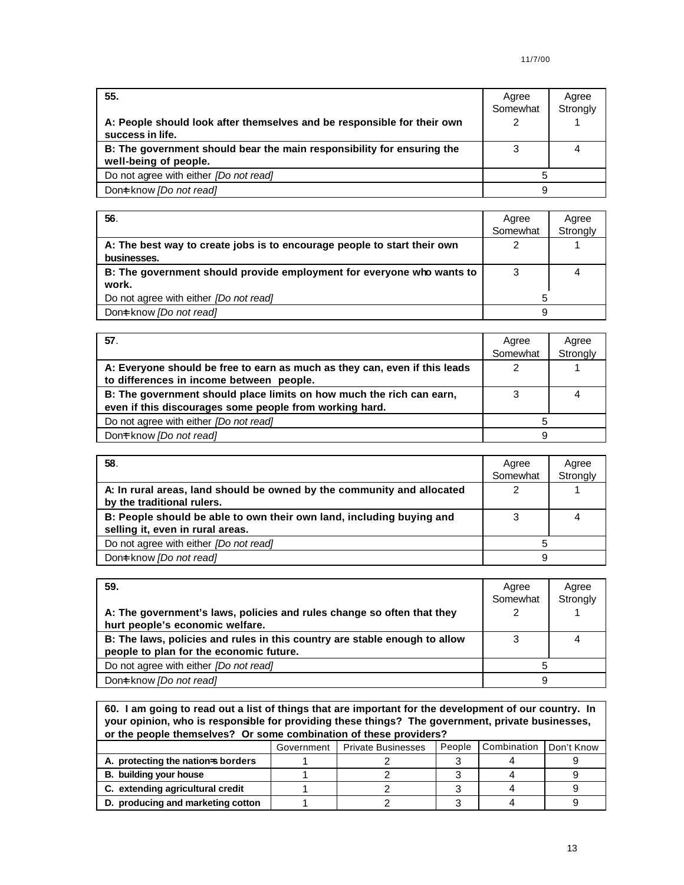| 55.                                                                                             | Agree<br>Somewhat | Agree<br>Strongly |
|-------------------------------------------------------------------------------------------------|-------------------|-------------------|
| A: People should look after themselves and be responsible for their own<br>success in life.     | ◠                 |                   |
| B: The government should bear the main responsibility for ensuring the<br>well-being of people. |                   |                   |
| Do not agree with either <i>[Do not read]</i>                                                   | 5                 |                   |
| Dont know [Do not read]                                                                         | 9                 |                   |

| 56.                                                                                     | Agree<br>Somewhat | Agree<br>Strongly |
|-----------------------------------------------------------------------------------------|-------------------|-------------------|
| A: The best way to create jobs is to encourage people to start their own<br>businesses. |                   |                   |
| B: The government should provide employment for everyone who wants to<br>work.          |                   |                   |
| Do not agree with either <i>[Do not read]</i>                                           |                   |                   |
| Dont know <i>[Do not read]</i>                                                          | 9                 |                   |

| 57.                                                                        | Agree    | Agree    |
|----------------------------------------------------------------------------|----------|----------|
|                                                                            | Somewhat | Strongly |
| A: Everyone should be free to earn as much as they can, even if this leads |          |          |
| to differences in income between people.                                   |          |          |
| B: The government should place limits on how much the rich can earn,       |          | 4        |
| even if this discourages some people from working hard.                    |          |          |
| Do not agree with either <i>[Do not read]</i>                              | 5        |          |
| Dont know [Do not read]                                                    | 9        |          |

| 58.                                                                                                      | Agree<br>Somewhat | Agree<br>Strongly |
|----------------------------------------------------------------------------------------------------------|-------------------|-------------------|
| A: In rural areas, land should be owned by the community and allocated<br>by the traditional rulers.     |                   |                   |
| B: People should be able to own their own land, including buying and<br>selling it, even in rural areas. |                   |                   |
| Do not agree with either <i>[Do not read]</i>                                                            |                   |                   |
| Dont know [Do not read]                                                                                  | 9                 |                   |

| 59.                                                                        | Agree    | Agree    |
|----------------------------------------------------------------------------|----------|----------|
|                                                                            | Somewhat | Strongly |
| A: The government's laws, policies and rules change so often that they     |          |          |
| hurt people's economic welfare.                                            |          |          |
| B: The laws, policies and rules in this country are stable enough to allow |          |          |
| people to plan for the economic future.                                    |          |          |
| Do not agree with either <i>[Do not read]</i>                              | 5        |          |
| Dont know <i>[Do not read]</i>                                             | 9        |          |

**60. I am going to read out a list of things that are important for the development of our country. In your opinion, who is responsible for providing these things? The government, private businesses, or the people themselves? Or some combination of these providers?**

|                                    | Government | <b>Private Businesses</b> | People | Combination | Don't Know |  |
|------------------------------------|------------|---------------------------|--------|-------------|------------|--|
| A. protecting the nation-s borders |            |                           |        |             |            |  |
| B. building your house             |            |                           |        |             |            |  |
| C. extending agricultural credit   |            |                           |        |             |            |  |
| D. producing and marketing cotton  |            |                           |        |             |            |  |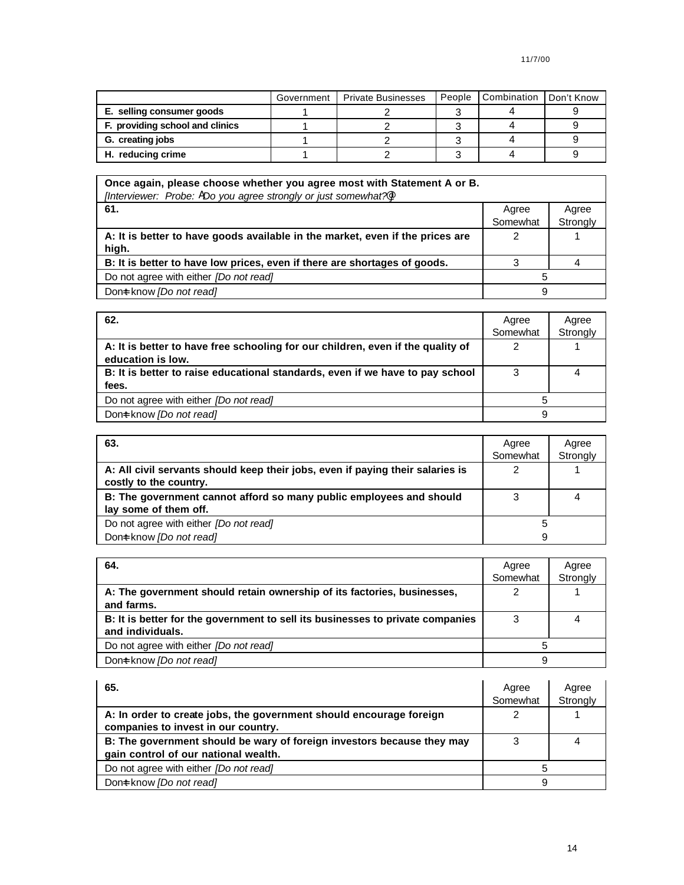|                                 | Government | <b>Private Businesses</b> | People | Combination | Don't Know |
|---------------------------------|------------|---------------------------|--------|-------------|------------|
| E. selling consumer goods       |            |                           |        |             |            |
| F. providing school and clinics |            |                           |        |             |            |
| G. creating jobs                |            |                           |        |             |            |
| H. reducing crime               |            |                           |        |             |            |

| Once again, please choose whether you agree most with Statement A or B.<br>[Interviewer: Probe: ADo you agree strongly or just somewhat?] |          |          |
|-------------------------------------------------------------------------------------------------------------------------------------------|----------|----------|
| 61.                                                                                                                                       | Agree    | Agree    |
|                                                                                                                                           | Somewhat | Strongly |
| A: It is better to have goods available in the market, even if the prices are<br>high.                                                    |          |          |
| B: It is better to have low prices, even if there are shortages of goods.                                                                 |          |          |
| Do not agree with either [Do not read]                                                                                                    |          |          |
| Dont know <i>[Do not read]</i>                                                                                                            | 9        |          |

| 62.                                                                                                  | Agree    | Agree    |
|------------------------------------------------------------------------------------------------------|----------|----------|
|                                                                                                      | Somewhat | Strongly |
| A: It is better to have free schooling for our children, even if the quality of<br>education is low. |          |          |
| B: It is better to raise educational standards, even if we have to pay school<br>fees.               | 3        |          |
| Do not agree with either <i>[Do not read]</i>                                                        |          |          |
| Dont know <i>[Do not read]</i>                                                                       | 9        |          |

| 63.                                                                                                      | Agree    | Agree    |
|----------------------------------------------------------------------------------------------------------|----------|----------|
|                                                                                                          | Somewhat | Strongly |
| A: All civil servants should keep their jobs, even if paying their salaries is<br>costly to the country. |          |          |
| B: The government cannot afford so many public employees and should<br>lay some of them off.             |          |          |
| Do not agree with either [Do not read]                                                                   | 5        |          |
| Dont know [Do not read]                                                                                  | 9        |          |

| 64.                                                                                                | Agree<br>Somewhat | Agree<br>Strongly |
|----------------------------------------------------------------------------------------------------|-------------------|-------------------|
| A: The government should retain ownership of its factories, businesses,<br>and farms.              |                   |                   |
| B: It is better for the government to sell its businesses to private companies<br>and individuals. |                   |                   |
| Do not agree with either <i>[Do not read]</i>                                                      |                   |                   |
| Dont know [Do not read]                                                                            | 9                 |                   |

| 65.                                                                                                            | Agree<br>Somewhat | Agree<br>Strongly |
|----------------------------------------------------------------------------------------------------------------|-------------------|-------------------|
| A: In order to create jobs, the government should encourage foreign<br>companies to invest in our country.     |                   |                   |
| B: The government should be wary of foreign investors because they may<br>gain control of our national wealth. |                   |                   |
| Do not agree with either [Do not read]                                                                         |                   |                   |
| Dont know <i>[Do not read]</i>                                                                                 | 9                 |                   |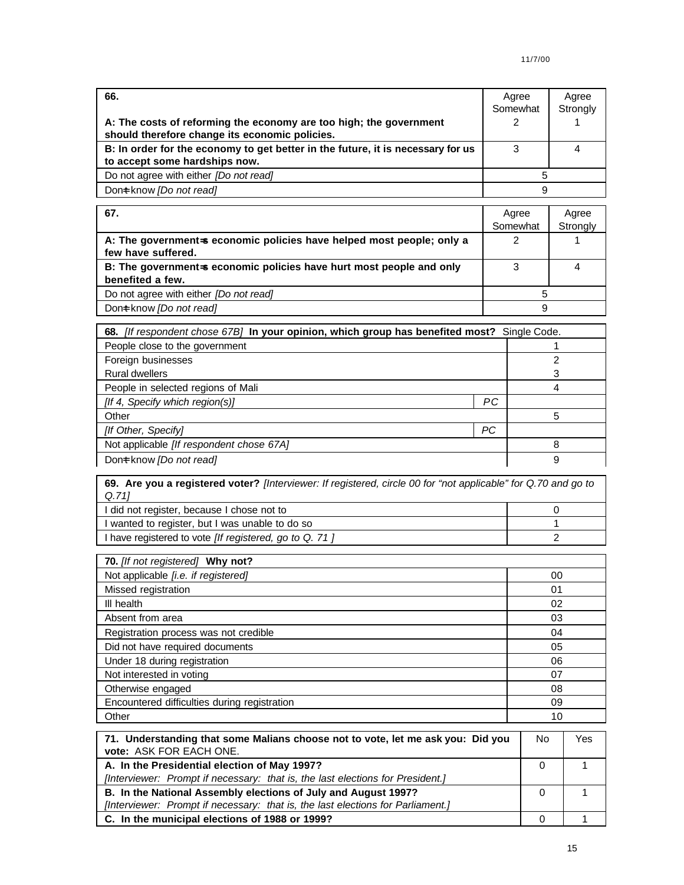| 66.                                                                             | Agree<br>Somewhat | Agree<br>Strongly |
|---------------------------------------------------------------------------------|-------------------|-------------------|
|                                                                                 |                   |                   |
| A: The costs of reforming the economy are too high; the government              |                   |                   |
| should therefore change its economic policies.                                  |                   |                   |
| B: In order for the economy to get better in the future, it is necessary for us |                   |                   |
| to accept some hardships now.                                                   |                   |                   |
| Do not agree with either <i>[Do not read]</i>                                   |                   |                   |
| Dont know <i>[Do not read]</i>                                                  | я                 |                   |

| 67.                                                                   | Agree    | Agree    |
|-----------------------------------------------------------------------|----------|----------|
|                                                                       | Somewhat | Strongly |
| A: The government-s economic policies have helped most people; only a |          |          |
| few have suffered.                                                    |          |          |
| B: The government-s economic policies have hurt most people and only  |          | 4        |
| benefited a few.                                                      |          |          |
| Do not agree with either <i>[Do not read]</i>                         |          |          |
| Dont know [Do not read]                                               | 9        |          |

| 68. <i>[If respondent chose 67B]</i> In your opinion, which group has benefited most? Single Code. |           |   |
|----------------------------------------------------------------------------------------------------|-----------|---|
| People close to the government                                                                     |           |   |
| Foreign businesses                                                                                 |           | 2 |
| <b>Rural dwellers</b>                                                                              |           |   |
| People in selected regions of Mali                                                                 |           | 4 |
| [If 4, Specify which region(s)]                                                                    | <b>PC</b> |   |
| Other                                                                                              |           | 5 |
| [If Other, Specify]                                                                                | <b>PC</b> |   |
| Not applicable [If respondent chose 67A]                                                           |           | 8 |
| Dont know [Do not read]                                                                            |           | 9 |

**69. Are you a registered voter?** *[Interviewer: If registered, circle 00 for "not applicable" for Q.70 and go to Q.71]*

| I did not register, because I chose not to                    |  |
|---------------------------------------------------------------|--|
| I wanted to register, but I was unable to do so               |  |
| I have registered to vote <i>[If registered, go to Q. 71]</i> |  |

| 70. [If not registered] Why not?             |    |
|----------------------------------------------|----|
| Not applicable [i.e. if registered]          | 00 |
| Missed registration                          | 01 |
| III health                                   | 02 |
| Absent from area                             | 03 |
| Registration process was not credible        | 04 |
| Did not have required documents              | 05 |
| Under 18 during registration                 | 06 |
| Not interested in voting                     | 07 |
| Otherwise engaged                            | 08 |
| Encountered difficulties during registration | 09 |
| Other                                        | 10 |

| 71. Understanding that some Malians choose not to vote, let me ask you: Did you<br>vote: ASK FOR EACH ONE. | No. | Yes |
|------------------------------------------------------------------------------------------------------------|-----|-----|
| A. In the Presidential election of May 1997?                                                               |     |     |
| [Interviewer: Prompt if necessary: that is, the last elections for President.]                             |     |     |
| B. In the National Assembly elections of July and August 1997?                                             |     |     |
| [Interviewer: Prompt if necessary: that is, the last elections for Parliament.]                            |     |     |
| C. In the municipal elections of 1988 or 1999?                                                             |     |     |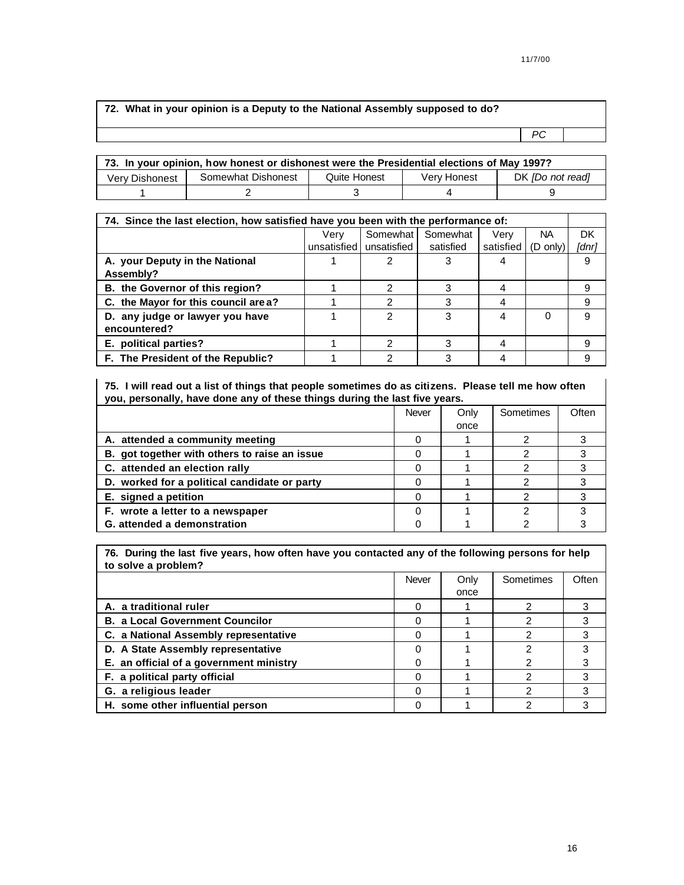| 72. What in your opinion is a Deputy to the National Assembly supposed to do? |     |  |
|-------------------------------------------------------------------------------|-----|--|
|                                                                               | PC. |  |

| 73. In your opinion, how honest or dishonest were the Presidential elections of May 1997? |  |              |             |                         |  |  |
|-------------------------------------------------------------------------------------------|--|--------------|-------------|-------------------------|--|--|
| Somewhat Dishonest<br>Very Dishonest                                                      |  | Quite Honest | Very Honest | DK <i>[Do not read]</i> |  |  |
|                                                                                           |  |              |             |                         |  |  |

| 74. Since the last election, how satisfied have you been with the performance of: |               |             |           |           |           |       |  |
|-----------------------------------------------------------------------------------|---------------|-------------|-----------|-----------|-----------|-------|--|
|                                                                                   | Verv          | Somewhat I  | Somewhat  | Verv      | <b>NA</b> | DK    |  |
|                                                                                   | unsatisfied l | unsatisfied | satisfied | satisfied | (D only)  | [dnr] |  |
| A. your Deputy in the National                                                    |               |             |           | 4         |           | 9     |  |
| Assembly?                                                                         |               |             |           |           |           |       |  |
| B. the Governor of this region?                                                   |               | າ           |           | 4         |           |       |  |
| C. the Mayor for this council are a?                                              |               | ົ           |           |           |           | 9     |  |
| D. any judge or lawyer you have                                                   |               | 2           | 3         | 4         | 0         | я     |  |
| encountered?                                                                      |               |             |           |           |           |       |  |
| E. political parties?                                                             |               | ≘           |           | 4         |           | 9     |  |
| F. The President of the Republic?                                                 |               |             |           |           |           |       |  |

**75. I will read out a list of things that people sometimes do as citizens. Please tell me how often you, personally, have done any of these things during the last five years.** 

|                                               | Never | Only | Sometimes | Often |
|-----------------------------------------------|-------|------|-----------|-------|
|                                               |       | once |           |       |
| A. attended a community meeting               |       |      |           |       |
| B. got together with others to raise an issue |       |      |           |       |
| C. attended an election rally                 |       |      |           |       |
| D. worked for a political candidate or party  |       |      |           |       |
| E. signed a petition                          |       |      |           |       |
| F. wrote a letter to a newspaper              |       |      |           |       |
| G. attended a demonstration                   |       |      |           |       |

**76. During the last five years, how often have you contacted any of the following persons for help to solve a problem?**

|                                         | Never | Only | Sometimes | Often |
|-----------------------------------------|-------|------|-----------|-------|
|                                         |       | once |           |       |
| A. a traditional ruler                  |       |      |           |       |
| <b>B. a Local Government Councilor</b>  |       |      |           | 3     |
| C. a National Assembly representative   |       |      |           | 3     |
| D. A State Assembly representative      |       |      |           | 3     |
| E. an official of a government ministry |       |      |           | 3     |
| F. a political party official           |       |      |           | 3     |
| G. a religious leader                   |       |      |           | 3     |
| H. some other influential person        |       |      |           | 3     |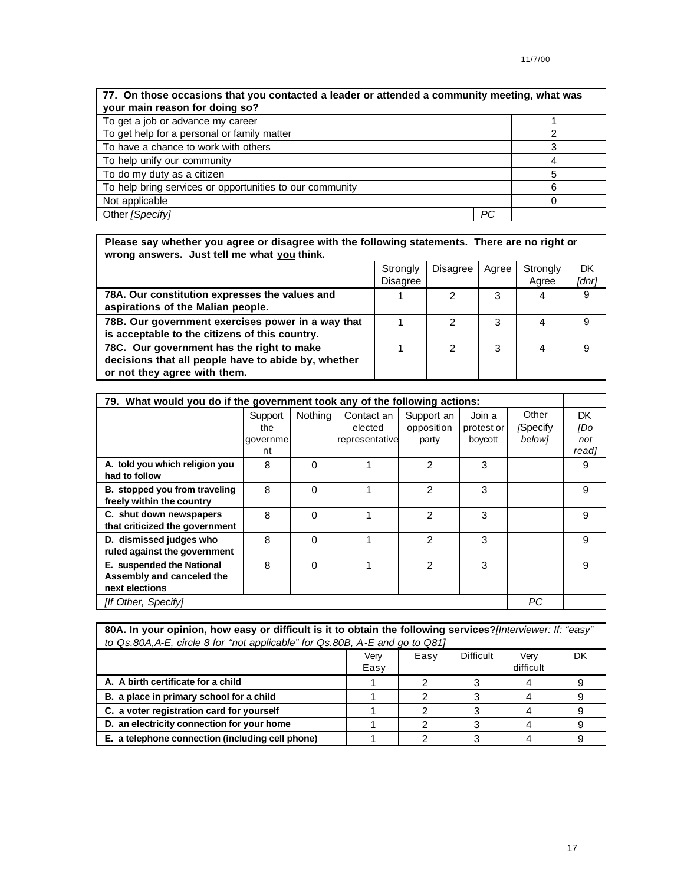| 77. On those occasions that you contacted a leader or attended a community meeting, what was<br>your main reason for doing so? |    |   |  |  |
|--------------------------------------------------------------------------------------------------------------------------------|----|---|--|--|
| To get a job or advance my career                                                                                              |    |   |  |  |
| To get help for a personal or family matter                                                                                    |    |   |  |  |
| To have a chance to work with others                                                                                           |    |   |  |  |
| To help unify our community                                                                                                    |    |   |  |  |
| To do my duty as a citizen                                                                                                     |    |   |  |  |
| To help bring services or opportunities to our community                                                                       |    | 6 |  |  |
| Not applicable                                                                                                                 |    |   |  |  |
| Other [Specify]                                                                                                                | РC |   |  |  |

| Please say whether you agree or disagree with the following statements. There are no right or<br>wrong answers. Just tell me what you think. |                             |          |       |                   |             |
|----------------------------------------------------------------------------------------------------------------------------------------------|-----------------------------|----------|-------|-------------------|-------------|
|                                                                                                                                              | Strongly<br><b>Disagree</b> | Disagree | Agree | Strongly<br>Agree | DK<br>[dnr] |
| 78A. Our constitution expresses the values and<br>aspirations of the Malian people.                                                          |                             |          | 3     | 4                 | 9           |
| 78B. Our government exercises power in a way that<br>is acceptable to the citizens of this country.                                          |                             | 2        | 3     | 4                 | 9           |
| 78C. Our government has the right to make<br>decisions that all people have to abide by, whether<br>or not they agree with them.             |                             | 2        | 3     | 4                 | 9           |

| 79. What would you do if the government took any of the following actions: |                                  |          |                                         |                                   |                                 |                             |                            |
|----------------------------------------------------------------------------|----------------------------------|----------|-----------------------------------------|-----------------------------------|---------------------------------|-----------------------------|----------------------------|
|                                                                            | Support<br>the<br>governme<br>nt | Nothing  | Contact an<br>elected<br>representative | Support an<br>opposition<br>party | Join a<br>protest or<br>boycott | Other<br>/Specify<br>below] | DK.<br>[Do<br>not<br>read] |
| A. told you which religion you<br>had to follow                            | 8                                | $\Omega$ |                                         | $\mathcal{P}$                     | 3                               |                             | 9                          |
| B. stopped you from traveling<br>freely within the country                 | 8                                | $\Omega$ |                                         | $\mathcal{P}$                     | 3                               |                             | 9                          |
| C. shut down newspapers<br>that criticized the government                  | 8                                | $\Omega$ |                                         | $\mathcal{P}$                     | 3                               |                             | 9                          |
| D. dismissed judges who<br>ruled against the government                    | 8                                | $\Omega$ |                                         | 2                                 | 3                               |                             | 9                          |
| E. suspended the National<br>Assembly and canceled the<br>next elections   | 8                                | $\Omega$ |                                         | 2                                 | 3                               |                             | 9                          |
| [If Other, Specify]                                                        |                                  |          |                                         |                                   |                                 | РC                          |                            |

| 80A. In your opinion, how easy or difficult is it to obtain the following services? [Interviewer: If: "easy" |      |      |                  |           |    |  |  |  |
|--------------------------------------------------------------------------------------------------------------|------|------|------------------|-----------|----|--|--|--|
| to Qs.80A, A-E, circle 8 for "not applicable" for Qs.80B, A-E and go to Q81]                                 |      |      |                  |           |    |  |  |  |
|                                                                                                              | Verv | Easy | <b>Difficult</b> | Very      | DK |  |  |  |
|                                                                                                              | Easy |      |                  | difficult |    |  |  |  |
| A. A birth certificate for a child                                                                           |      | っ    |                  |           |    |  |  |  |
| B. a place in primary school for a child                                                                     |      |      |                  |           |    |  |  |  |
| C. a voter registration card for yourself                                                                    |      |      |                  |           |    |  |  |  |
| D. an electricity connection for your home                                                                   |      |      |                  |           |    |  |  |  |
| E. a telephone connection (including cell phone)                                                             |      | ⌒    | 3                |           |    |  |  |  |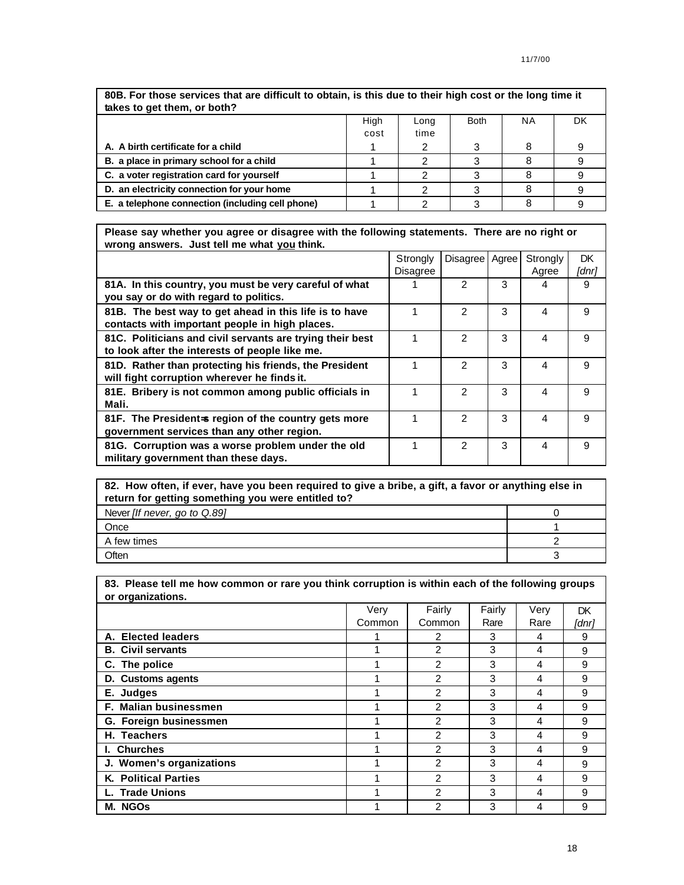| 80B. For those services that are difficult to obtain, is this due to their high cost or the long time it<br>takes to get them, or both? |      |      |             |           |    |  |
|-----------------------------------------------------------------------------------------------------------------------------------------|------|------|-------------|-----------|----|--|
|                                                                                                                                         | High | Long | <b>Both</b> | <b>NA</b> | DK |  |
|                                                                                                                                         | cost | time |             |           |    |  |
| A. A birth certificate for a child                                                                                                      |      |      | 3           | 8         | 9  |  |
| B. a place in primary school for a child                                                                                                |      |      |             |           |    |  |
| C. a voter registration card for yourself                                                                                               |      | 2    |             |           |    |  |
| D. an electricity connection for your home                                                                                              |      |      |             |           |    |  |
| E. a telephone connection (including cell phone)                                                                                        |      |      |             |           |    |  |

**Please say whether you agree or disagree with the following statements. There are no right or wrong answers. Just tell me what you think.**

|                                                                                                             | Strongly<br><b>Disagree</b> | Disagree      | Agree | Strongly<br>Agree | DK<br>[dnr] |
|-------------------------------------------------------------------------------------------------------------|-----------------------------|---------------|-------|-------------------|-------------|
| 81A. In this country, you must be very careful of what<br>you say or do with regard to politics.            |                             | 2             | 3     | 4                 | 9           |
| 81B. The best way to get ahead in this life is to have<br>contacts with important people in high places.    |                             | 2             | 3     | 4                 | 9           |
| 81C. Politicians and civil servants are trying their best<br>to look after the interests of people like me. |                             | $\mathcal{P}$ | 3     | 4                 | 9           |
| 81D. Rather than protecting his friends, the President<br>will fight corruption wherever he finds it.       |                             | 2             | 3     | 4                 | 9           |
| 81E. Bribery is not common among public officials in<br>Mali.                                               |                             | 2             | 3     | 4                 | 9           |
| 81F. The President=s region of the country gets more<br>government services than any other region.          |                             | $\mathcal{P}$ | 3     | 4                 | 9           |
| 81G. Corruption was a worse problem under the old<br>military government than these days.                   |                             | $\mathcal{P}$ | 3     | 4                 | 9           |

| 82. How often, if ever, have you been required to give a bribe, a gift, a favor or anything else in<br>return for getting something you were entitled to? |  |  |  |
|-----------------------------------------------------------------------------------------------------------------------------------------------------------|--|--|--|
| Never [If never, go to Q.89]                                                                                                                              |  |  |  |
| Once                                                                                                                                                      |  |  |  |
| A few times                                                                                                                                               |  |  |  |
| Often                                                                                                                                                     |  |  |  |

**83. Please tell me how common or rare you think corruption is within each of the following groups or organizations.** Very Common Fairly Common Fairly Rare Very Rare **DK** *[dnr]* **A. Elected leaders 1 1 2 3 4 9 B. Civil servants 1 1 1 1 2 1 3 4 1 9 C.** The police 1 1 2 3 4 9 **D. Customs agents** 1 2 3 4 9 **E. Judges** 1 1 2 3 4 9 **F. Malian businessmen** 1 1 2 3 4 9 **G. Foreign businessmen** 1 1 2 3 4 9 **H. Teachers** 2 2 3 4 9 **I. Churches** 1 1 2 3 4 9 **J. Women's organizations** 1 1 2 3 4 9 **K. Political Parties 1 1 2 3 4 9 L. Trade Unions** 1 1 2 3 4 9 **M. NGOs** 2 2 3 4 9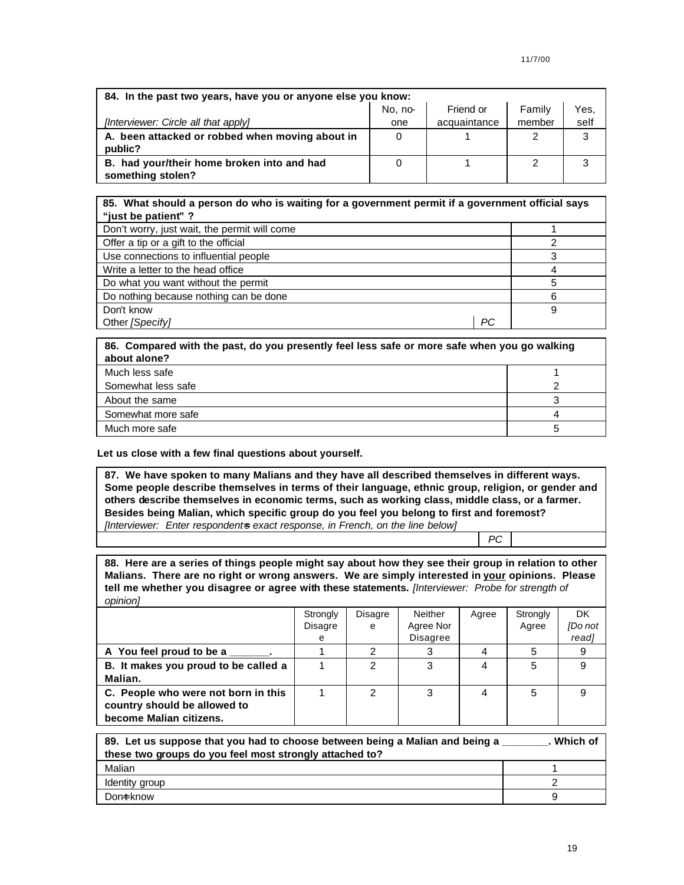| 84. In the past two years, have you or anyone else you know:    |         |              |        |      |  |  |
|-----------------------------------------------------------------|---------|--------------|--------|------|--|--|
|                                                                 | No. no- | Friend or    | Family | Yes, |  |  |
| [Interviewer: Circle all that apply]                            | one     | acquaintance | member | self |  |  |
| A. been attacked or robbed when moving about in                 | 0       |              |        | 3    |  |  |
| public?                                                         |         |              |        |      |  |  |
| B. had your/their home broken into and had<br>something stolen? |         |              | 2      | 3    |  |  |

### **85. What should a person do who is waiting for a government permit if a government official says "just be patient" ?**

| Don't worry, just wait, the permit will come<br>Offer a tip or a gift to the official<br>Use connections to influential people<br>Write a letter to the head office<br>Do what you want without the permit |                                        |  |
|------------------------------------------------------------------------------------------------------------------------------------------------------------------------------------------------------------|----------------------------------------|--|
|                                                                                                                                                                                                            |                                        |  |
|                                                                                                                                                                                                            |                                        |  |
|                                                                                                                                                                                                            |                                        |  |
|                                                                                                                                                                                                            |                                        |  |
|                                                                                                                                                                                                            |                                        |  |
|                                                                                                                                                                                                            | Do nothing because nothing can be done |  |
| Don't know                                                                                                                                                                                                 |                                        |  |
| РC<br>Other [Specify]                                                                                                                                                                                      |                                        |  |

| 86. Compared with the past, do you presently feel less safe or more safe when you go walking<br>about alone? |  |
|--------------------------------------------------------------------------------------------------------------|--|
| Much less safe                                                                                               |  |
| Somewhat less safe                                                                                           |  |
| About the same                                                                                               |  |
| Somewhat more safe                                                                                           |  |
| Much more safe                                                                                               |  |

## **Let us close with a few final questions about yourself.**

**87. We have spoken to many Malians and they have all described themselves in different ways. Some people describe themselves in terms of their language, ethnic group, religion, or gender and others describe themselves in economic terms, such as working class, middle class, or a farmer. Besides being Malian, which specific group do you feel you belong to first and foremost?** *[Interviewer: Enter respondent=s exact response, in French, on the line below]*

*PC*

**88. Here are a series of things people might say about how they see their group in relation to other Malians. There are no right or wrong answers. We are simply interested in your opinions. Please tell me whether you disagree or agree with these statements.** *[Interviewer: Probe for strength of opinion]* 

|                                                                                                | Strongly<br>Disagre<br>е | Disagre<br>e | Neither<br>Agree Nor<br><b>Disagree</b> | Agree | Strongly<br>Agree | <b>DK</b><br><b>IDo</b> not<br>read] |
|------------------------------------------------------------------------------------------------|--------------------------|--------------|-----------------------------------------|-------|-------------------|--------------------------------------|
| A You feel proud to be a                                                                       |                          |              |                                         |       |                   |                                      |
| B. It makes you proud to be called a<br>Malian.                                                |                          | 2            |                                         | 4     | 5                 |                                      |
| C. People who were not born in this<br>country should be allowed to<br>become Malian citizens. |                          | っ            | 3                                       |       | 5                 |                                      |

| 89. Let us suppose that you had to choose between being a Malian and being a<br>these two groups do you feel most strongly attached to? | . Which of |
|-----------------------------------------------------------------------------------------------------------------------------------------|------------|
| Malian                                                                                                                                  |            |
| Identity group                                                                                                                          |            |
| Dont know                                                                                                                               |            |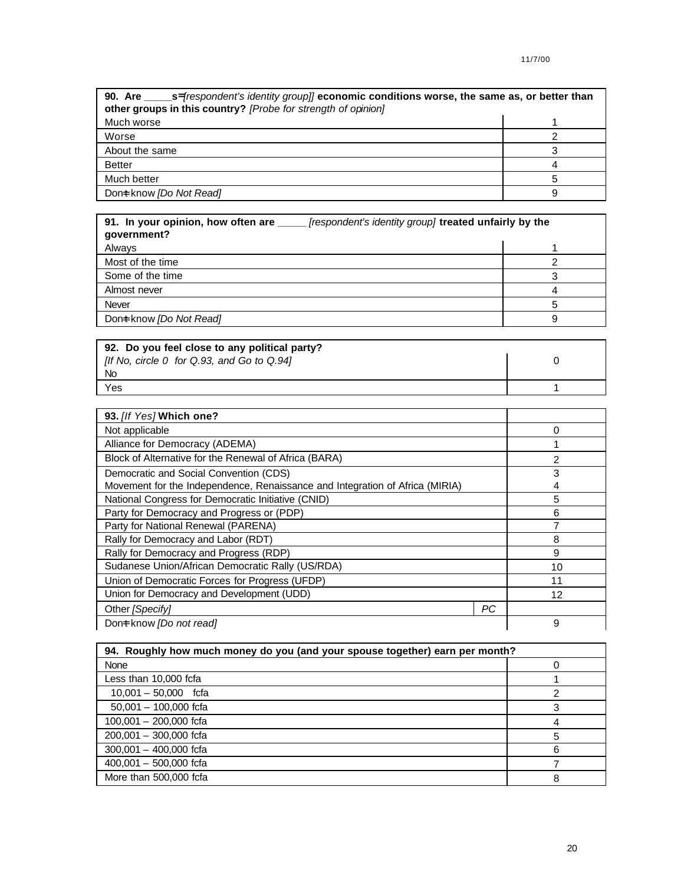| other groups in this country? [Probe for strength of opinion] |  |  |
|---------------------------------------------------------------|--|--|
| Much worse                                                    |  |  |
| Worse                                                         |  |  |
| About the same                                                |  |  |
| <b>Better</b>                                                 |  |  |
| Much better                                                   |  |  |
| Dont know [Do Not Read]                                       |  |  |

| 91. In your opinion, how often are _______ [respondent's identity group] treated unfairly by the<br>government? |  |  |
|-----------------------------------------------------------------------------------------------------------------|--|--|
| Always                                                                                                          |  |  |
| Most of the time                                                                                                |  |  |
| Some of the time                                                                                                |  |  |
| Almost never                                                                                                    |  |  |
| <b>Never</b>                                                                                                    |  |  |
| Dont know [Do Not Read]                                                                                         |  |  |
|                                                                                                                 |  |  |

| 92. Do you feel close to any political party? |  |
|-----------------------------------------------|--|
| [If No, circle 0 for Q.93, and Go to Q.94]    |  |
| <b>No</b>                                     |  |
| Yes                                           |  |

| 93. [If Yes] Which one?                                                      |  |    |
|------------------------------------------------------------------------------|--|----|
| Not applicable                                                               |  | 0  |
| Alliance for Democracy (ADEMA)                                               |  |    |
| Block of Alternative for the Renewal of Africa (BARA)                        |  | 2  |
| Democratic and Social Convention (CDS)                                       |  | 3  |
| Movement for the Independence, Renaissance and Integration of Africa (MIRIA) |  | 4  |
| National Congress for Democratic Initiative (CNID)                           |  | 5  |
| Party for Democracy and Progress or (PDP)                                    |  | 6  |
| Party for National Renewal (PARENA)                                          |  |    |
| Rally for Democracy and Labor (RDT)                                          |  | 8  |
| Rally for Democracy and Progress (RDP)                                       |  | 9  |
| Sudanese Union/African Democratic Rally (US/RDA)                             |  | 10 |
| Union of Democratic Forces for Progress (UFDP)                               |  | 11 |
| Union for Democracy and Development (UDD)                                    |  | 12 |
| РC<br>Other [Specify]                                                        |  |    |
| Dont know [Do not read]                                                      |  | 9  |

| 94. Roughly how much money do you (and your spouse together) earn per month? |    |  |
|------------------------------------------------------------------------------|----|--|
| None                                                                         |    |  |
| Less than 10,000 fcfa                                                        |    |  |
| $10,001 - 50,000$ fcfa                                                       |    |  |
| $50,001 - 100,000$ fcfa                                                      |    |  |
| $100,001 - 200,000$ fcfa                                                     |    |  |
| $200,001 - 300,000$ fcfa                                                     | 5  |  |
| $300,001 - 400,000$ fcfa                                                     | ิค |  |
| $400,001 - 500,000$ fcfa                                                     |    |  |
| More than 500,000 fcfa                                                       | 8  |  |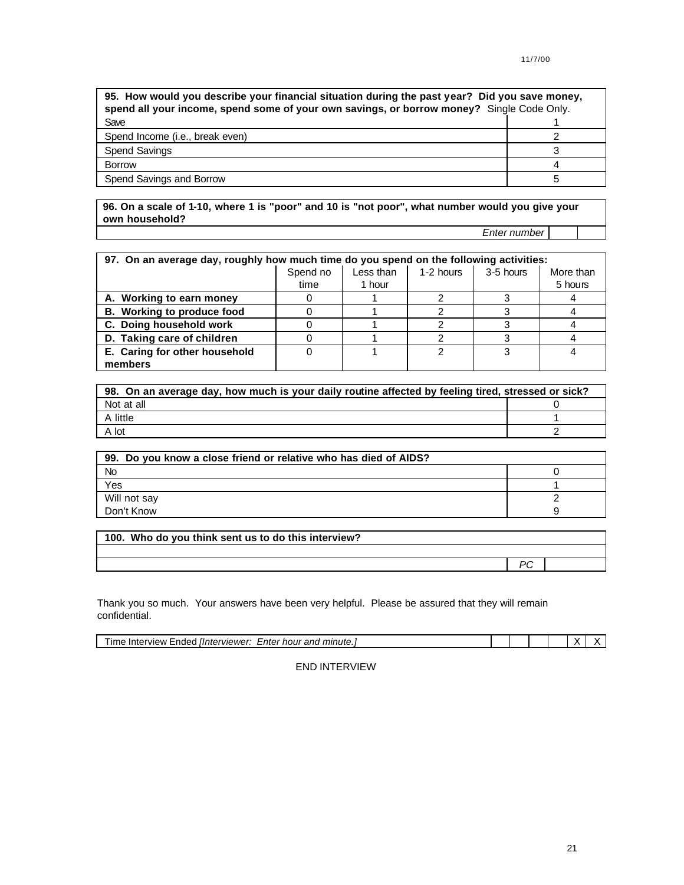| 95. How would you describe your financial situation during the past year? Did you save money,<br>spend all your income, spend some of your own savings, or borrow money? Single Code Only. |  |  |
|--------------------------------------------------------------------------------------------------------------------------------------------------------------------------------------------|--|--|
| Save                                                                                                                                                                                       |  |  |
| Spend Income ( <i>i.e.</i> , break even)                                                                                                                                                   |  |  |
| Spend Savings                                                                                                                                                                              |  |  |
| <b>Borrow</b>                                                                                                                                                                              |  |  |
| Spend Savings and Borrow                                                                                                                                                                   |  |  |

**96. On a scale of 1-10, where 1 is "poor" and 10 is "not poor", what number would you give your own household?**

*Enter number*

| 97. On an average day, roughly how much time do you spend on the following activities: |          |           |           |           |           |
|----------------------------------------------------------------------------------------|----------|-----------|-----------|-----------|-----------|
|                                                                                        | Spend no | Less than | 1-2 hours | 3-5 hours | More than |
|                                                                                        | time     | 1 hour    |           |           | 5 hours   |
| A. Working to earn money                                                               |          |           |           |           |           |
| B. Working to produce food                                                             |          |           |           |           |           |
| C. Doing household work                                                                |          |           |           |           |           |
| D. Taking care of children                                                             |          |           |           |           |           |
| E. Caring for other household                                                          |          |           |           |           |           |
| members                                                                                |          |           |           |           |           |

| 98. On an average day, how much is your daily routine affected by feeling tired, stressed or sick? |  |  |
|----------------------------------------------------------------------------------------------------|--|--|
| Not at all                                                                                         |  |  |
| A little                                                                                           |  |  |
| A lot                                                                                              |  |  |

| 99. Do you know a close friend or relative who has died of AIDS? |  |
|------------------------------------------------------------------|--|
| <b>No</b>                                                        |  |
| Yes                                                              |  |
| Will not say                                                     |  |
| Don't Know                                                       |  |

| 100. Who do you think sent us to do this interview? |  |
|-----------------------------------------------------|--|
|                                                     |  |
|                                                     |  |

Thank you so much. Your answers have been very helpful. Please be assured that they will remain confidential.

| linterviewer:<br>minute<br>and<br>_nter<br>hour<br>ır<br><b>Prview</b> .<br>nder ·<br>intel<br>п. |  |  |  |  |
|---------------------------------------------------------------------------------------------------|--|--|--|--|
|                                                                                                   |  |  |  |  |

END INTERVIEW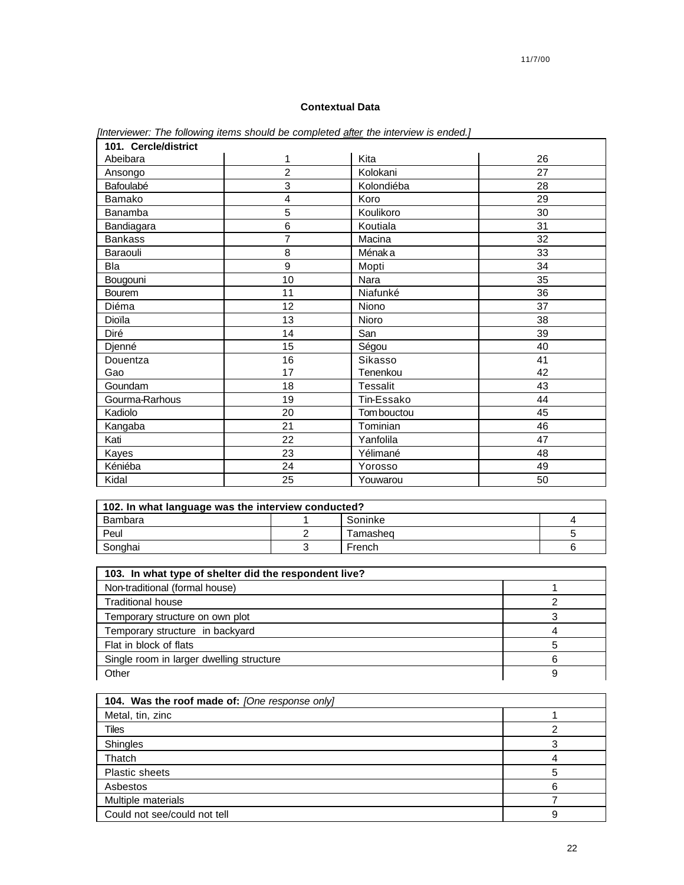## 11/7/00

## **Contextual Data**

| 101. Cercle/district |    |                 |    |
|----------------------|----|-----------------|----|
| Abeibara             | 1  | Kita            | 26 |
| Ansongo              | 2  | Kolokani        | 27 |
| Bafoulabé            | 3  | Kolondiéba      | 28 |
| Bamako               | 4  | Koro            | 29 |
| Banamba              | 5  | Koulikoro       | 30 |
| Bandiagara           | 6  | Koutiala        | 31 |
| <b>Bankass</b>       | 7  | Macina          | 32 |
| Baraouli             | 8  | Ménak a         | 33 |
| Bla                  | 9  | Mopti           | 34 |
| Bougouni             | 10 | Nara            | 35 |
| Bourem               | 11 | Niafunké        | 36 |
| Diéma                | 12 | Niono           | 37 |
| Dioïla               | 13 | Nioro           | 38 |
| Diré                 | 14 | San             | 39 |
| Djenné               | 15 | Ségou           | 40 |
| Douentza             | 16 | Sikasso         | 41 |
| Gao                  | 17 | Tenenkou        | 42 |
| Goundam              | 18 | <b>Tessalit</b> | 43 |
| Gourma-Rarhous       | 19 | Tin-Essako      | 44 |
| Kadiolo              | 20 | Tom bouctou     | 45 |
| Kangaba              | 21 | Tominian        | 46 |
| Kati                 | 22 | Yanfolila       | 47 |
| Kayes                | 23 | Yélimané        | 48 |
| Kéniéba              | 24 | Yorosso         | 49 |
| Kidal                | 25 | Youwarou        | 50 |

*[Interviewer: The following items should be completed after the interview is ended.]*

| 102. In what language was the interview conducted? |  |          |  |  |
|----------------------------------------------------|--|----------|--|--|
| Bambara                                            |  | Soninke  |  |  |
| Peul                                               |  | Tamasheq |  |  |
| Songhai                                            |  | French   |  |  |

| 103. In what type of shelter did the respondent live? |  |
|-------------------------------------------------------|--|
| Non-traditional (formal house)                        |  |
| <b>Traditional house</b>                              |  |
| Temporary structure on own plot                       |  |
| Temporary structure in backyard                       |  |
| Flat in block of flats                                |  |
| Single room in larger dwelling structure              |  |
| Other                                                 |  |

| 104. Was the roof made of: [One response only] |  |  |  |
|------------------------------------------------|--|--|--|
| Metal, tin, zinc                               |  |  |  |
| Tiles                                          |  |  |  |
| Shingles                                       |  |  |  |
| Thatch                                         |  |  |  |
| <b>Plastic sheets</b>                          |  |  |  |
| Asbestos                                       |  |  |  |
| Multiple materials                             |  |  |  |
| Could not see/could not tell                   |  |  |  |